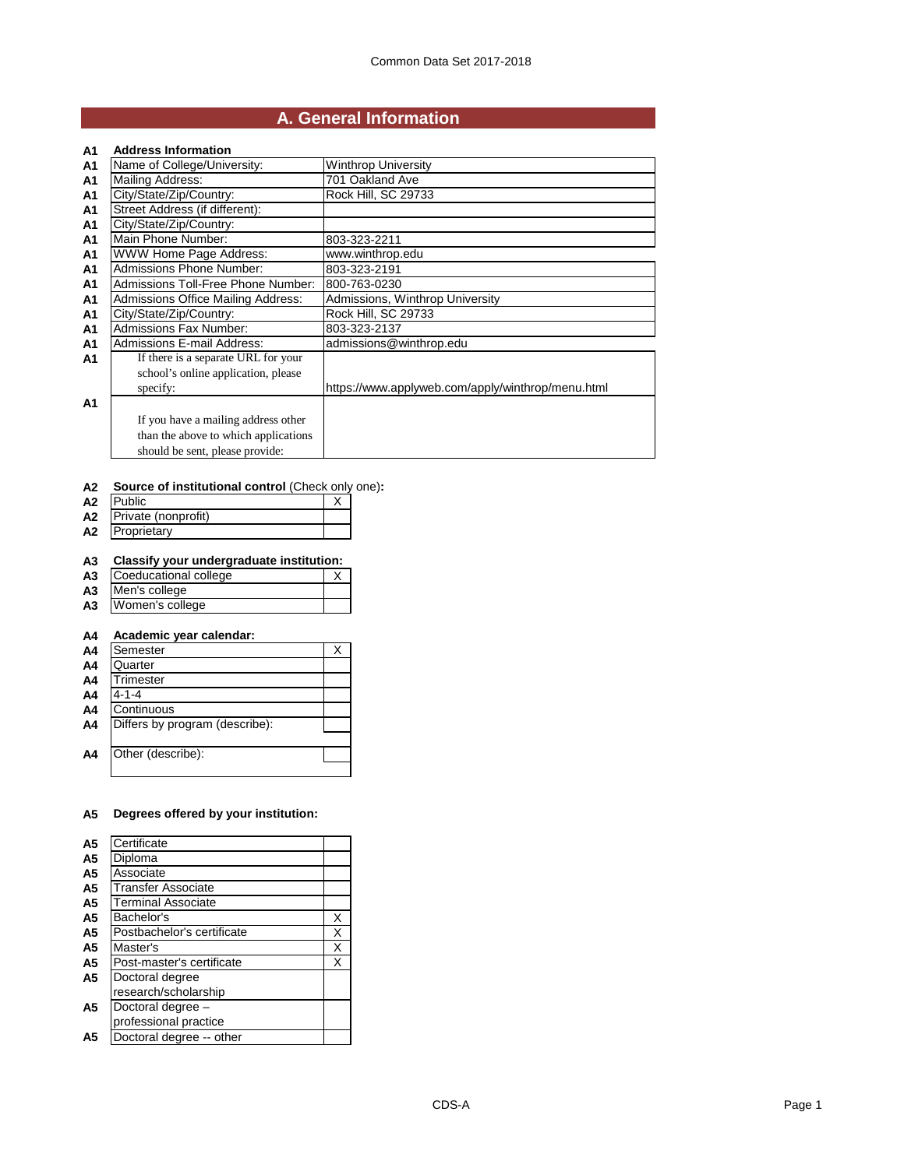## **A. General Information**

| A1             | <b>Address Information</b>           |                                                   |
|----------------|--------------------------------------|---------------------------------------------------|
| <b>A1</b>      | Name of College/University:          | <b>Winthrop University</b>                        |
| A <sub>1</sub> | <b>Mailing Address:</b>              | 701 Oakland Ave                                   |
| A <sub>1</sub> | City/State/Zip/Country:              | Rock Hill, SC 29733                               |
| A <sub>1</sub> | Street Address (if different):       |                                                   |
| <b>A1</b>      | City/State/Zip/Country:              |                                                   |
| A1             | Main Phone Number:                   | 803-323-2211                                      |
| <b>A1</b>      | WWW Home Page Address:               | www.winthrop.edu                                  |
| A1             | <b>Admissions Phone Number:</b>      | 803-323-2191                                      |
| A1             | Admissions Toll-Free Phone Number:   | 800-763-0230                                      |
| A <sub>1</sub> | Admissions Office Mailing Address:   | Admissions, Winthrop University                   |
| A1             | City/State/Zip/Country:              | Rock Hill, SC 29733                               |
| A <sub>1</sub> | <b>Admissions Fax Number:</b>        | 803-323-2137                                      |
| A1             | Admissions E-mail Address:           | admissions@winthrop.edu                           |
| A1             | If there is a separate URL for your  |                                                   |
|                | school's online application, please  |                                                   |
|                | specify:                             | https://www.applyweb.com/apply/winthrop/menu.html |
| A <sub>1</sub> |                                      |                                                   |
|                | If you have a mailing address other  |                                                   |
|                | than the above to which applications |                                                   |
|                | should be sent, please provide:      |                                                   |

### **A2 Source of institutional control** (Check only one)**:**

| A <sub>2</sub> | Public              |  |
|----------------|---------------------|--|
| A2             | Private (nonprofit) |  |
| A <sub>2</sub> | Proprietary         |  |

#### **A3 Classify your undergraduate institution:**

- **A3** Coeducational college X **A3** Men's college
- **A3** Women's college

# **A4 Academic year calendar:**

**A4** Semester X<br>**A4** Quarter X **A4** Quarter<br>**A4** Trimeste **A4** Trimester **A4**  $\frac{4-1-4}{\text{Contin}}$ **A4** Continuous<br>**A4** Differs by pr **Differs by program (describe): A4** Other (describe):

### **A5 Degrees offered by your institution:**

| А5             | Certificate                |   |
|----------------|----------------------------|---|
| A5             | Diploma                    |   |
| A5             | Associate                  |   |
| A5             | Transfer Associate         |   |
| A5             | Terminal Associate         |   |
| A5             | Bachelor's                 | X |
| A5             | Postbachelor's certificate | X |
| A5             | Master's                   | X |
| A5             | Post-master's certificate  | X |
| A <sub>5</sub> | Doctoral degree            |   |
|                | research/scholarship       |   |
| А5             | Doctoral degree -          |   |
|                | professional practice      |   |
| A5             | Doctoral degree -- other   |   |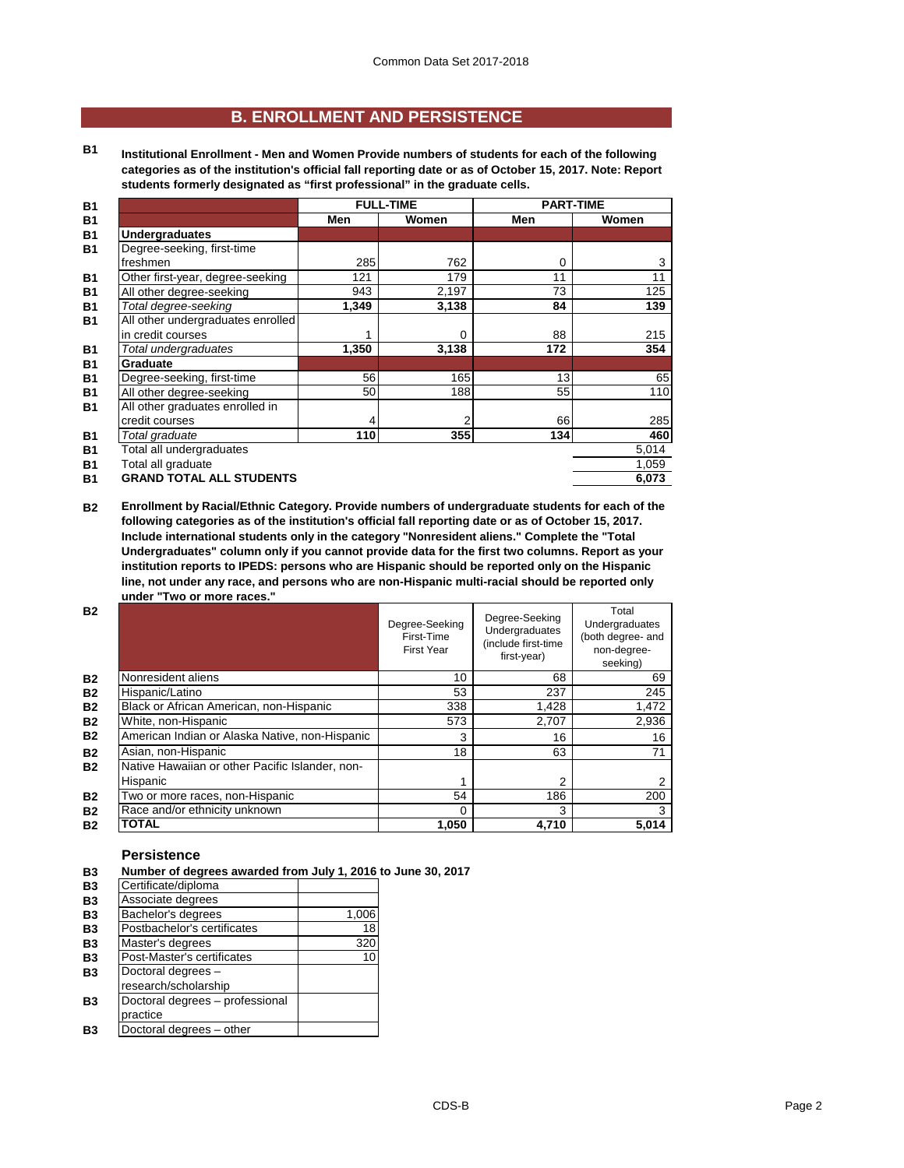## **B. ENROLLMENT AND PERSISTENCE**

**B1 Institutional Enrollment - Men and Women Provide numbers of students for each of the following categories as of the institution's official fall reporting date or as of October 15, 2017. Note: Report students formerly designated as "first professional" in the graduate cells.**

| <b>B1</b> |                                   |       | <b>FULL-TIME</b> | <b>PART-TIME</b> |       |
|-----------|-----------------------------------|-------|------------------|------------------|-------|
| <b>B1</b> |                                   | Men   | Women            | Men              | Women |
| <b>B1</b> | <b>Undergraduates</b>             |       |                  |                  |       |
| <b>B1</b> | Degree-seeking, first-time        |       |                  |                  |       |
|           | freshmen                          | 285   | 762              | 0                | 3     |
| <b>B1</b> | Other first-year, degree-seeking  | 121   | 179              | 11               | 11    |
| <b>B1</b> | All other degree-seeking          | 943   | 2,197            | 73               | 125   |
| <b>B1</b> | Total degree-seeking              | 1,349 | 3,138            | 84               | 139   |
| <b>B1</b> | All other undergraduates enrolled |       |                  |                  |       |
|           | in credit courses                 | 1     | 0                | 88               | 215   |
| <b>B1</b> | Total undergraduates              | 1,350 | 3,138            | 172              | 354   |
| <b>B1</b> | Graduate                          |       |                  |                  |       |
| <b>B1</b> | Degree-seeking, first-time        | 56    | 165              | 13               | 65    |
| <b>B1</b> | All other degree-seeking          | 50    | 188              | 55               | 110   |
| <b>B1</b> | All other graduates enrolled in   |       |                  |                  |       |
|           | credit courses                    |       | 2                | 66               | 285   |
| <b>B1</b> | Total graduate                    | 110   | 355              | 134              | 460   |
| <b>B1</b> | Total all undergraduates          |       |                  |                  | 5,014 |
| <b>B1</b> | Total all graduate                |       |                  |                  | 1,059 |
| <b>B1</b> | <b>GRAND TOTAL ALL STUDENTS</b>   |       |                  |                  | 6,073 |

**B2 Enrollment by Racial/Ethnic Category. Provide numbers of undergraduate students for each of the following categories as of the institution's official fall reporting date or as of October 15, 2017. Include international students only in the category "Nonresident aliens." Complete the "Total Undergraduates" column only if you cannot provide data for the first two columns. Report as your institution reports to IPEDS: persons who are Hispanic should be reported only on the Hispanic line, not under any race, and persons who are non-Hispanic multi-racial should be reported only under "Two or more races."** 

| <b>B2</b> |                                                 | Degree-Seeking<br>First-Time<br><b>First Year</b> | Degree-Seeking<br>Undergraduates<br>(include first-time<br>first-year) | Total<br><b>Undergraduates</b><br>(both degree- and<br>non-degree-<br>seeking) |
|-----------|-------------------------------------------------|---------------------------------------------------|------------------------------------------------------------------------|--------------------------------------------------------------------------------|
| <b>B2</b> | Nonresident aliens                              | 10                                                | 68                                                                     | 69                                                                             |
| <b>B2</b> | Hispanic/Latino                                 | 53                                                | 237                                                                    | 245                                                                            |
| <b>B2</b> | Black or African American, non-Hispanic         | 338                                               | 1,428                                                                  | 1,472                                                                          |
| <b>B2</b> | White, non-Hispanic                             | 573                                               | 2,707                                                                  | 2,936                                                                          |
| <b>B2</b> | American Indian or Alaska Native, non-Hispanic  | 3                                                 | 16                                                                     | 16                                                                             |
| <b>B2</b> | Asian, non-Hispanic                             | 18                                                | 63                                                                     | 71                                                                             |
| <b>B2</b> | Native Hawaiian or other Pacific Islander, non- |                                                   |                                                                        |                                                                                |
|           | Hispanic                                        |                                                   | 2                                                                      |                                                                                |
| <b>B2</b> | Two or more races, non-Hispanic                 | 54                                                | 186                                                                    | 200                                                                            |
| <b>B2</b> | Race and/or ethnicity unknown                   | 0                                                 | 3                                                                      | 3                                                                              |
| <b>B2</b> | <b>TOTAL</b>                                    | 1,050                                             | 4.710                                                                  | 5,014                                                                          |

#### **Persistence**

**B3 Number of degrees awarded from July 1, 2016 to June 30, 2017 B3** Certificate/diploma **B3** Associate degrees<br>**B3** Bachelor's degrees **B3** Bachelor's degrees 1,006<br> **B3** Postbachelor's certificates 18 **B3** Postbachelor's certificates 18<br> **B3** Master's degrees 320 **B3** Master's degrees 320<br> **B3** Post-Master's certificates 10 **B3** Post-Master's certificates<br>**B3** Doctoral degrees – **B3** Doctoral degrees – research/scholarship **B3** Doctoral degrees – professional practice **B3** Doctoral degrees – other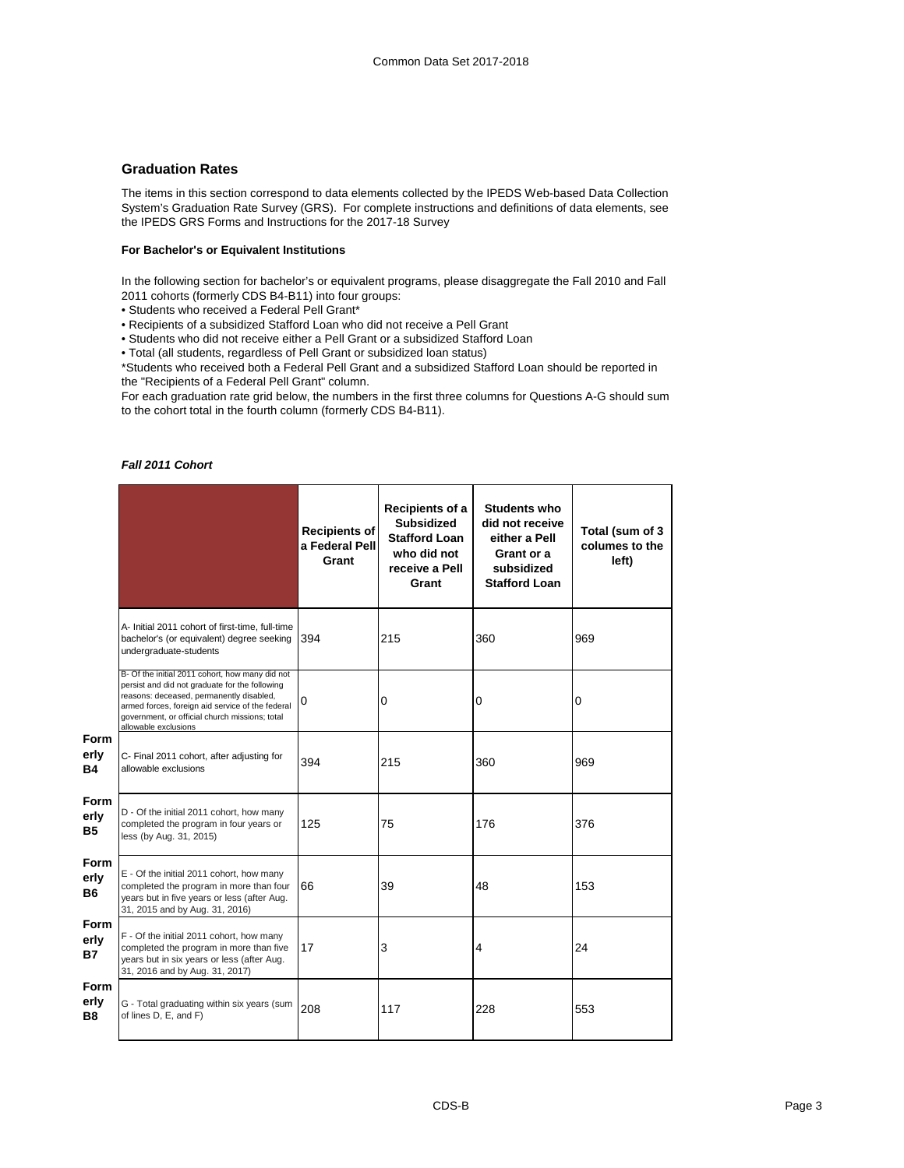#### **Graduation Rates**

The items in this section correspond to data elements collected by the IPEDS Web-based Data Collection System's Graduation Rate Survey (GRS). For complete instructions and definitions of data elements, see the IPEDS GRS Forms and Instructions for the 2017-18 Survey

#### **For Bachelor's or Equivalent Institutions**

In the following section for bachelor's or equivalent programs, please disaggregate the Fall 2010 and Fall 2011 cohorts (formerly CDS B4-B11) into four groups:

• Students who received a Federal Pell Grant\*

• Recipients of a subsidized Stafford Loan who did not receive a Pell Grant

• Students who did not receive either a Pell Grant or a subsidized Stafford Loan

• Total (all students, regardless of Pell Grant or subsidized loan status)

\*Students who received both a Federal Pell Grant and a subsidized Stafford Loan should be reported in the "Recipients of a Federal Pell Grant" column.

For each graduation rate grid below, the numbers in the first three columns for Questions A-G should sum to the cohort total in the fourth column (formerly CDS B4-B11).

### *Fall 2011 Cohort*

|                           |                                                                                                                                                                                                                                                                             | <b>Recipients of</b><br>a Federal Pell<br>Grant | Recipients of a<br><b>Subsidized</b><br><b>Stafford Loan</b><br>who did not<br>receive a Pell<br>Grant | <b>Students who</b><br>did not receive<br>either a Pell<br>Grant or a<br>subsidized<br><b>Stafford Loan</b> | Total (sum of 3<br>columes to the<br>left) |
|---------------------------|-----------------------------------------------------------------------------------------------------------------------------------------------------------------------------------------------------------------------------------------------------------------------------|-------------------------------------------------|--------------------------------------------------------------------------------------------------------|-------------------------------------------------------------------------------------------------------------|--------------------------------------------|
|                           | A- Initial 2011 cohort of first-time, full-time<br>bachelor's (or equivalent) degree seeking<br>undergraduate-students                                                                                                                                                      | 394                                             | 215                                                                                                    | 360                                                                                                         | 969                                        |
|                           | B- Of the initial 2011 cohort, how many did not<br>persist and did not graduate for the following<br>reasons: deceased, permanently disabled,<br>armed forces, foreign aid service of the federal<br>government, or official church missions; total<br>allowable exclusions | 0                                               | 0                                                                                                      | 0                                                                                                           | $\mathbf 0$                                |
| Form<br>erly<br><b>B4</b> | C- Final 2011 cohort, after adjusting for<br>allowable exclusions                                                                                                                                                                                                           | 394                                             | 215                                                                                                    | 360                                                                                                         | 969                                        |
| Form<br>erly<br><b>B5</b> | D - Of the initial 2011 cohort, how many<br>completed the program in four years or<br>less (by Aug. 31, 2015)                                                                                                                                                               | 125                                             | 75                                                                                                     | 176                                                                                                         | 376                                        |
| Form<br>erly<br><b>B6</b> | E - Of the initial 2011 cohort, how many<br>completed the program in more than four<br>years but in five years or less (after Aug.<br>31, 2015 and by Aug. 31, 2016)                                                                                                        | 66                                              | 39                                                                                                     | 48                                                                                                          | 153                                        |
| Form<br>erly<br><b>B7</b> | F - Of the initial 2011 cohort, how many<br>completed the program in more than five<br>years but in six years or less (after Aug.<br>31, 2016 and by Aug. 31, 2017)                                                                                                         | 17                                              | 3                                                                                                      | 4                                                                                                           | 24                                         |
| Form<br>erly<br><b>B8</b> | G - Total graduating within six years (sum<br>of lines D, E, and F)                                                                                                                                                                                                         | 208                                             | 117                                                                                                    | 228                                                                                                         | 553                                        |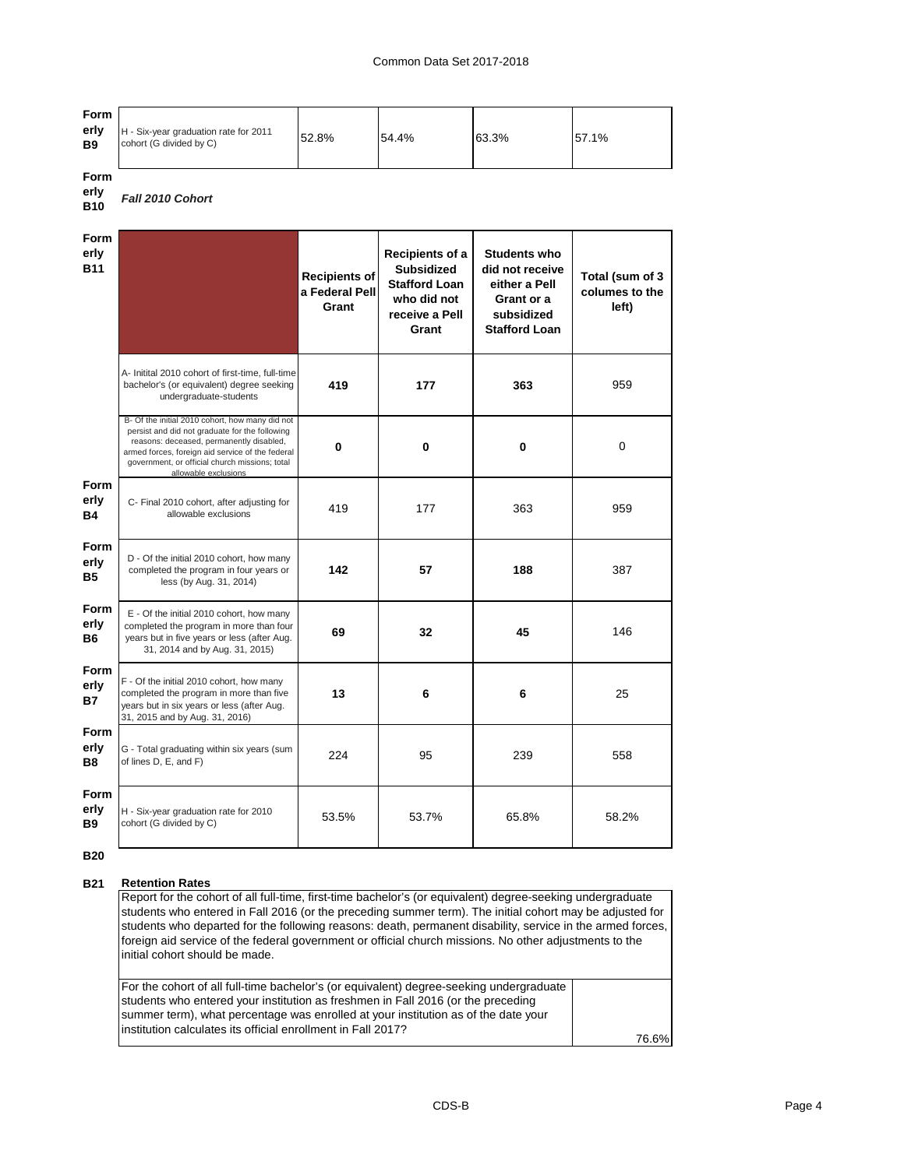#### Common Data Set 2017-2018

| Form<br>erly<br><b>B9</b> | H - Six-year graduation rate for 2011<br>cohort (G divided by C) | 52.8% | 54.4% | 63.3% | 57.1% |
|---------------------------|------------------------------------------------------------------|-------|-------|-------|-------|
|---------------------------|------------------------------------------------------------------|-------|-------|-------|-------|

**Form erly** 

#### **B10** *Fall 2010 Cohort*

| <b>Form</b><br>erly<br><b>B11</b> |                                                                                                                                                                                                                                                                             | <b>Recipients of</b><br>a Federal Pell<br>Grant | Recipients of a<br><b>Subsidized</b><br><b>Stafford Loan</b><br>who did not<br>receive a Pell<br>Grant | <b>Students who</b><br>did not receive<br>either a Pell<br>Grant or a<br>subsidized<br><b>Stafford Loan</b> | Total (sum of 3<br>columes to the<br>left) |
|-----------------------------------|-----------------------------------------------------------------------------------------------------------------------------------------------------------------------------------------------------------------------------------------------------------------------------|-------------------------------------------------|--------------------------------------------------------------------------------------------------------|-------------------------------------------------------------------------------------------------------------|--------------------------------------------|
|                                   | A- Initital 2010 cohort of first-time, full-time<br>bachelor's (or equivalent) degree seeking<br>undergraduate-students                                                                                                                                                     | 419                                             | 177                                                                                                    | 363                                                                                                         | 959                                        |
|                                   | B- Of the initial 2010 cohort, how many did not<br>persist and did not graduate for the following<br>reasons: deceased, permanently disabled,<br>armed forces, foreign aid service of the federal<br>government, or official church missions; total<br>allowable exclusions | 0                                               | 0                                                                                                      | 0                                                                                                           | $\mathbf 0$                                |
| Form<br>erly<br><b>B4</b>         | C- Final 2010 cohort, after adjusting for<br>allowable exclusions                                                                                                                                                                                                           | 419                                             | 177                                                                                                    | 363                                                                                                         | 959                                        |
| <b>Form</b><br>erly<br><b>B5</b>  | D - Of the initial 2010 cohort, how many<br>completed the program in four years or<br>less (by Aug. 31, 2014)                                                                                                                                                               | 142                                             | 57                                                                                                     | 188                                                                                                         | 387                                        |
| Form<br>erly<br><b>B6</b>         | E - Of the initial 2010 cohort, how many<br>completed the program in more than four<br>years but in five years or less (after Aug.<br>31, 2014 and by Aug. 31, 2015)                                                                                                        | 69                                              | 32                                                                                                     | 45                                                                                                          | 146                                        |
| <b>Form</b><br>erly<br><b>B7</b>  | F - Of the initial 2010 cohort, how many<br>completed the program in more than five<br>years but in six years or less (after Aug.<br>31, 2015 and by Aug. 31, 2016)                                                                                                         | 13                                              | 6                                                                                                      | 6                                                                                                           | 25                                         |
| <b>Form</b><br>erly<br><b>B8</b>  | G - Total graduating within six years (sum<br>of lines D, E, and F)                                                                                                                                                                                                         | 224                                             | 95                                                                                                     | 239                                                                                                         | 558                                        |
| <b>Form</b><br>erly<br><b>B9</b>  | H - Six-year graduation rate for 2010<br>cohort (G divided by C)                                                                                                                                                                                                            | 53.5%                                           | 53.7%                                                                                                  | 65.8%                                                                                                       | 58.2%                                      |

**B20**

#### **B21 Retention Rates**

Report for the cohort of all full-time, first-time bachelor's (or equivalent) degree-seeking undergraduate students who entered in Fall 2016 (or the preceding summer term). The initial cohort may be adjusted for students who departed for the following reasons: death, permanent disability, service in the armed forces, foreign aid service of the federal government or official church missions. No other adjustments to the initial cohort should be made.

76.6% For the cohort of all full-time bachelor's (or equivalent) degree-seeking undergraduate students who entered your institution as freshmen in Fall 2016 (or the preceding summer term), what percentage was enrolled at your institution as of the date your institution calculates its official enrollment in Fall 2017?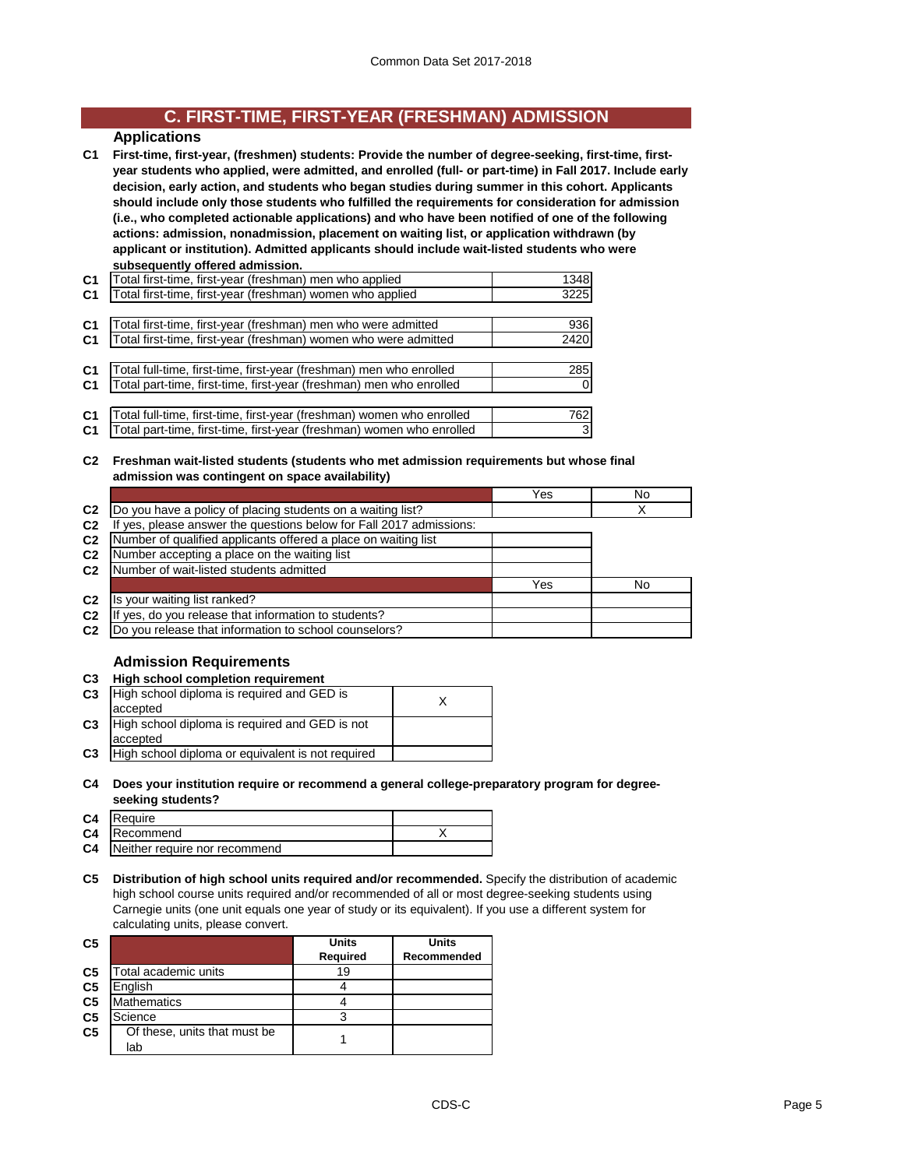## **C. FIRST-TIME, FIRST-YEAR (FRESHMAN) ADMISSION**

## **Applications**

**C1 First-time, first-year, (freshmen) students: Provide the number of degree-seeking, first-time, firstyear students who applied, were admitted, and enrolled (full- or part-time) in Fall 2017. Include early decision, early action, and students who began studies during summer in this cohort. Applicants should include only those students who fulfilled the requirements for consideration for admission (i.e., who completed actionable applications) and who have been notified of one of the following actions: admission, nonadmission, placement on waiting list, or application withdrawn (by applicant or institution). Admitted applicants should include wait-listed students who were subsequently offered admission.**

| C <sub>1</sub> | Total first-time, first-year (freshman) men who applied               | 1348     |
|----------------|-----------------------------------------------------------------------|----------|
| C <sub>1</sub> | Total first-time, first-year (freshman) women who applied             | 3225     |
|                |                                                                       |          |
| C <sub>1</sub> | Total first-time, first-year (freshman) men who were admitted         | 936      |
| C <sub>1</sub> | Total first-time, first-year (freshman) women who were admitted       | 2420     |
|                |                                                                       |          |
| C <sub>1</sub> | Total full-time, first-time, first-year (freshman) men who enrolled   | 285      |
| C <sub>1</sub> | Total part-time, first-time, first-year (freshman) men who enrolled   | $\Omega$ |
|                |                                                                       |          |
| C <sub>1</sub> | Total full-time, first-time, first-year (freshman) women who enrolled | 762      |
| C <sub>1</sub> | Total part-time, first-time, first-year (freshman) women who enrolled | 3        |

**C2 Freshman wait-listed students (students who met admission requirements but whose final admission was contingent on space availability)**

|                |                                                                  | Yes | No |
|----------------|------------------------------------------------------------------|-----|----|
| C <sub>2</sub> | Do you have a policy of placing students on a waiting list?      |     |    |
| C <sub>2</sub> | yes, please answer the questions below for Fall 2017 admissions: |     |    |
| C <sub>2</sub> | Number of qualified applicants offered a place on waiting list   |     |    |
| C <sub>2</sub> | Number accepting a place on the waiting list                     |     |    |
| C <sub>2</sub> | Number of wait-listed students admitted                          |     |    |
|                |                                                                  | Yes | No |
| C <sub>2</sub> | Is your waiting list ranked?                                     |     |    |
| C <sub>2</sub> | yes, do you release that information to students?                |     |    |
| C <sub>2</sub> | Do you release that information to school counselors?            |     |    |

## **Admission Requirements**

#### **C3 High school completion requirement**

| w              |                                                   |  |
|----------------|---------------------------------------------------|--|
| C <sub>3</sub> | High school diploma is required and GED is        |  |
|                | accepted                                          |  |
| C <sub>3</sub> | High school diploma is required and GED is not    |  |
|                | accepted                                          |  |
| C <sub>3</sub> | High school diploma or equivalent is not required |  |

**C4 Does your institution require or recommend a general college-preparatory program for degreeseeking students?**

| C4 Require                              |  |
|-----------------------------------------|--|
| <b>C4</b> Recommend                     |  |
| <b>C4</b> Neither require nor recommend |  |

**C5 Distribution of high school units required and/or recommended.** Specify the distribution of academic high school course units required and/or recommended of all or most degree-seeking students using Carnegie units (one unit equals one year of study or its equivalent). If you use a different system for calculating units, please convert.

| C <sub>5</sub> |                              | <b>Units</b> | Units       |
|----------------|------------------------------|--------------|-------------|
|                |                              | Required     | Recommended |
| C <sub>5</sub> | Total academic units         | 19           |             |
| C <sub>5</sub> | English                      |              |             |
| C <sub>5</sub> | <b>Mathematics</b>           |              |             |
| C <sub>5</sub> | Science                      |              |             |
| C <sub>5</sub> | Of these, units that must be |              |             |
|                | lab                          |              |             |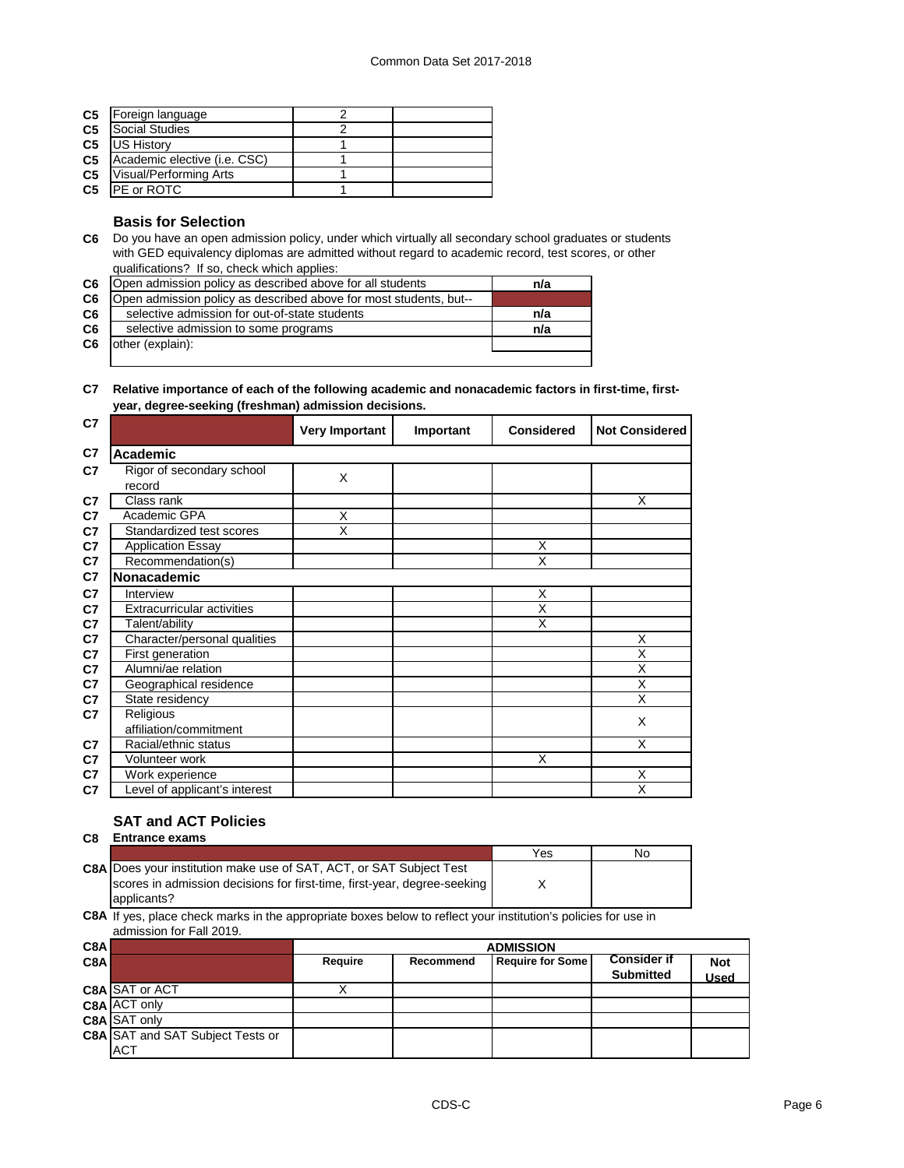| C <sub>5</sub> | Foreign language             |  |
|----------------|------------------------------|--|
| C <sub>5</sub> | Social Studies               |  |
| C <sub>5</sub> | <b>US History</b>            |  |
| C <sub>5</sub> | Academic elective (i.e. CSC) |  |
| C <sub>5</sub> | Visual/Performing Arts       |  |
| C <sub>5</sub> | <b>IPE or ROTC</b>           |  |
|                |                              |  |

#### **Basis for Selection**

**C6** Do you have an open admission policy, under which virtually all secondary school graduates or students with GED equivalency diplomas are admitted without regard to academic record, test scores, or other qualifications? If so, check which applies:

| C6             | Open admission policy as described above for all students         | n/a |
|----------------|-------------------------------------------------------------------|-----|
| C6             | Open admission policy as described above for most students, but-- |     |
| C <sub>6</sub> | selective admission for out-of-state students                     | n/a |
| C <sub>6</sub> | selective admission to some programs                              | n/a |
| C6             | other (explain):                                                  |     |
|                |                                                                   |     |

#### **C7 Relative importance of each of the following academic and nonacademic factors in first-time, firstyear, degree-seeking (freshman) admission decisions.**

| C7             |                                     | <b>Very Important</b> | Important | <b>Considered</b>       | <b>Not Considered</b>   |
|----------------|-------------------------------------|-----------------------|-----------|-------------------------|-------------------------|
| C7             | <b>Academic</b>                     |                       |           |                         |                         |
| C7             | Rigor of secondary school<br>record | X                     |           |                         |                         |
| C <sub>7</sub> | Class rank                          |                       |           |                         | X                       |
| C7             | Academic GPA                        | X                     |           |                         |                         |
| C <sub>7</sub> | Standardized test scores            | X                     |           |                         |                         |
| C7             | <b>Application Essay</b>            |                       |           | X                       |                         |
| C <sub>7</sub> | Recommendation(s)                   |                       |           | $\overline{\mathsf{x}}$ |                         |
| C7             | <b>Nonacademic</b>                  |                       |           |                         |                         |
| C <sub>7</sub> | Interview                           |                       |           | X                       |                         |
| C7             | <b>Extracurricular activities</b>   |                       |           | X                       |                         |
| C <sub>7</sub> | Talent/ability                      |                       |           | X                       |                         |
| C7             | Character/personal qualities        |                       |           |                         | X                       |
| C7             | First generation                    |                       |           |                         | $\overline{\mathsf{x}}$ |
| C7             | Alumni/ae relation                  |                       |           |                         | X                       |
| C7             | Geographical residence              |                       |           |                         | X                       |
| C7             | State residency                     |                       |           |                         | X                       |
| C7             | Religious                           |                       |           |                         | X                       |
|                | affiliation/commitment              |                       |           |                         |                         |
| C7             | Racial/ethnic status                |                       |           |                         | X                       |
| C7             | Volunteer work                      |                       |           | X                       |                         |
| C <sub>7</sub> | Work experience                     |                       |           |                         | X                       |
| C7             | Level of applicant's interest       |                       |           |                         | X                       |

## **SAT and ACT Policies**

**C8 Entrance exams** 

|                                                                            | Yes | No. |
|----------------------------------------------------------------------------|-----|-----|
| <b>C8A Does your institution make use of SAT, ACT, or SAT Subject Test</b> |     |     |
| scores in admission decisions for first-time, first-year, degree-seeking   |     |     |
| applicants?                                                                |     |     |

**C8A** If yes, place check marks in the appropriate boxes below to reflect your institution's policies for use in admission for Fall 2019.

| C8A              |                                         | <b>ADMISSION</b> |           |                         |                                        |            |  |  |
|------------------|-----------------------------------------|------------------|-----------|-------------------------|----------------------------------------|------------|--|--|
| C <sub>8</sub> A |                                         | Require          | Recommend | <b>Require for Some</b> | <b>Consider if</b><br><b>Submitted</b> | <b>Not</b> |  |  |
|                  |                                         |                  |           |                         |                                        | Used       |  |  |
|                  | C8A SAT or ACT                          |                  |           |                         |                                        |            |  |  |
|                  | C8A ACT only                            |                  |           |                         |                                        |            |  |  |
|                  | C8A SAT only                            |                  |           |                         |                                        |            |  |  |
|                  | <b>C8A SAT and SAT Subject Tests or</b> |                  |           |                         |                                        |            |  |  |
|                  | <b>ACT</b>                              |                  |           |                         |                                        |            |  |  |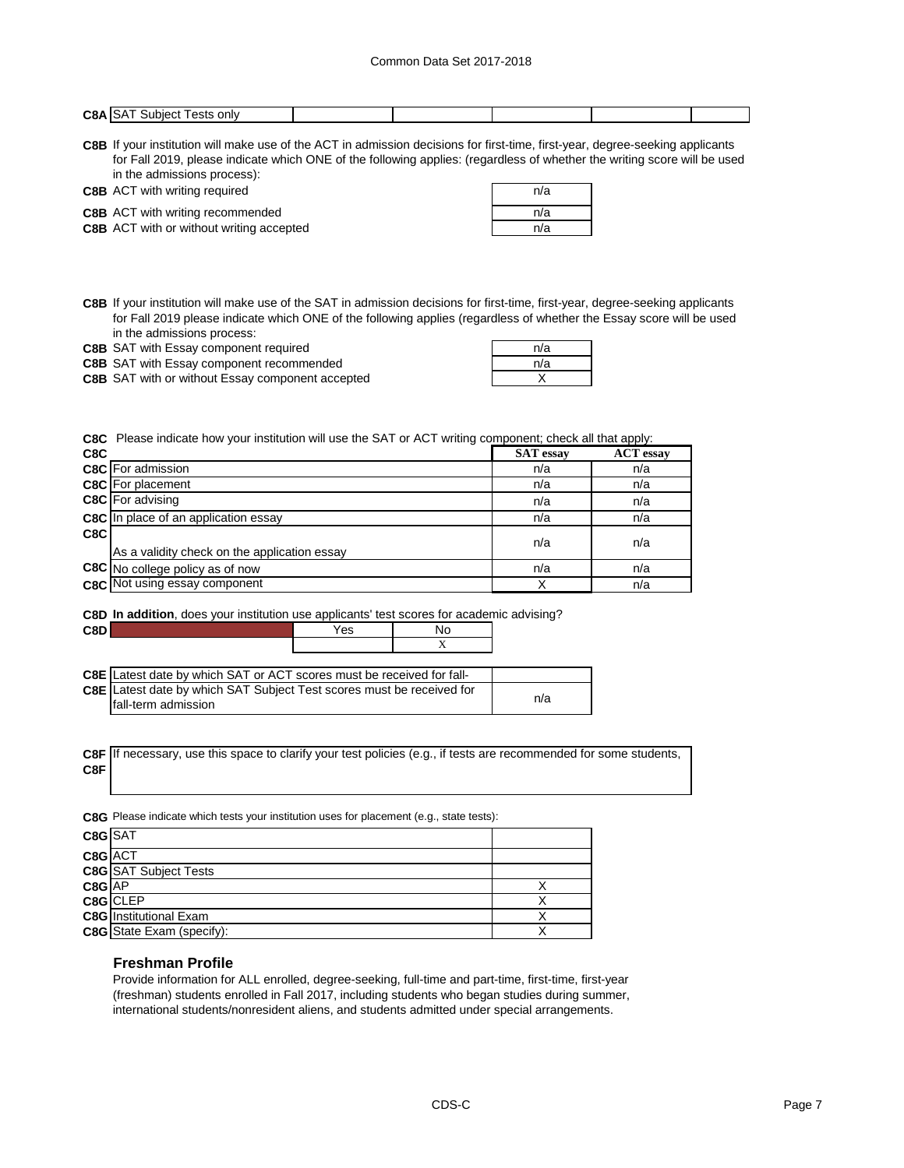| C <sub>8</sub> A<br>only<br>subieci<br>' ests<br>۳ ت |  |
|------------------------------------------------------|--|

**C8B** If your institution will make use of the ACT in admission decisions for first-time, first-year, degree-seeking applicants for Fall 2019, please indicate which ONE of the following applies: (regardless of whether the writing score will be used in the admissions process):

|           | <b>C8B</b> ACT with writing required |  |  |  |  | n/a |
|-----------|--------------------------------------|--|--|--|--|-----|
| --------- |                                      |  |  |  |  |     |

| <b>C8B</b> ACT with writing required            | n/a |
|-------------------------------------------------|-----|
| <b>C8B</b> ACT with writing recommended         | n/a |
| <b>C8B</b> ACT with or without writing accepted | n/a |

**C8B** If your institution will make use of the SAT in admission decisions for first-time, first-year, degree-seeking applicants for Fall 2019 please indicate which ONE of the following applies (regardless of whether the Essay score will be used in the admissions process:

| <b>C8B</b> SAT with Essay component required | n/a |  |
|----------------------------------------------|-----|--|
|                                              |     |  |

**C8B** SAT with Essay component recommended **C8B** n/a SAT with Essay component recommended

**C8B** X SAT with or without Essay component accepted

| n/a |  |
|-----|--|
| n/a |  |
|     |  |

**C8C** Please indicate how your institution will use the SAT or ACT writing component; check all that apply:

| C8C |                                              | <b>SAT</b> essay | <b>ACT</b> essay |
|-----|----------------------------------------------|------------------|------------------|
|     | <b>C8C</b> For admission                     | n/a              | n/a              |
|     | <b>C8C</b> For placement                     | n/a              | n/a              |
|     | <b>C8C</b> For advising                      | n/a              | n/a              |
|     | C8C In place of an application essay         | n/a              | n/a              |
| C8C | As a validity check on the application essay | n/a              | n/a              |
|     | C8C No college policy as of now              | n/a              | n/a              |
|     | <b>C8C</b> Not using essay component         |                  | n/a              |

### **C8D In addition**, does your institution use applicants' test scores for academic advising?

**C8D** Yes No

| <b>C8E</b> Latest date by which SAT or ACT scores must be received for fall- |  |     |
|------------------------------------------------------------------------------|--|-----|
| C8E Latest date by which SAT Subject Test scores must be received for        |  |     |
| Ifall-term admission                                                         |  | n/a |

**C8F** If necessary, use this space to clarify your test policies (e.g., if tests are recommended for some students, **C8F**

**C8G** Please indicate which tests your institution uses for placement (e.g., state tests):

| C8G SAT  |                                  |  |
|----------|----------------------------------|--|
| C8G ACT  |                                  |  |
|          | <b>C8G</b> SAT Subject Tests     |  |
| $C8G$ AP |                                  |  |
|          | C8G CLEP                         |  |
|          | <b>C8G</b> Institutional Exam    |  |
|          | <b>C8G</b> State Exam (specify): |  |

#### **Freshman Profile**

Provide information for ALL enrolled, degree-seeking, full-time and part-time, first-time, first-year (freshman) students enrolled in Fall 2017, including students who began studies during summer, international students/nonresident aliens, and students admitted under special arrangements.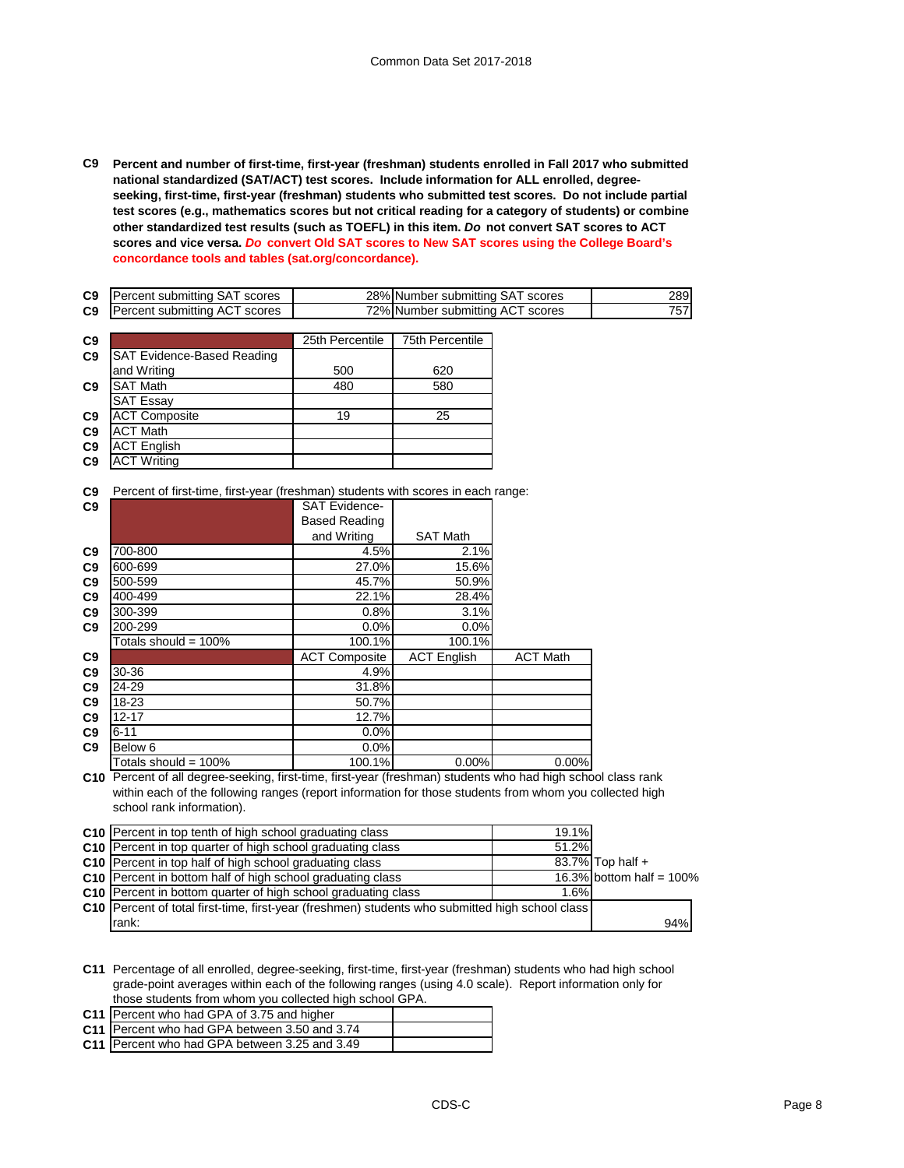**C9 Percent and number of first-time, first-year (freshman) students enrolled in Fall 2017 who submitted national standardized (SAT/ACT) test scores. Include information for ALL enrolled, degreeseeking, first-time, first-year (freshman) students who submitted test scores. Do not include partial test scores (e.g., mathematics scores but not critical reading for a category of students) or combine other standardized test results (such as TOEFL) in this item.** *Do* **not convert SAT scores to ACT scores and vice versa.** *Do* **convert Old SAT scores to New SAT scores using the College Board's concordance tools and tables (sat.org/concordance).**

| C <sub>9</sub> | Percent submitting SAT scores | 28% Number submitting SAT scores | 289I |
|----------------|-------------------------------|----------------------------------|------|
| C <sub>9</sub> | Percent submitting ACT scores | 72% Number submitting ACT scores |      |

| C9             |                                   | 25th Percentile | <b>75th Percentile</b> |
|----------------|-----------------------------------|-----------------|------------------------|
| C <sub>9</sub> | <b>SAT Evidence-Based Reading</b> |                 |                        |
|                | and Writing                       | 500             | 620                    |
| C <sub>9</sub> | <b>SAT Math</b>                   | 480             | 580                    |
|                | <b>SAT Essay</b>                  |                 |                        |
| C <sub>9</sub> | <b>ACT Composite</b>              | 19              | 25                     |
| C9             | <b>ACT Math</b>                   |                 |                        |
| C <sub>9</sub> | <b>ACT English</b>                |                 |                        |
| C <sub>9</sub> | <b>ACT Writing</b>                |                 |                        |

**C9** Percent of first-time, first-year (freshman) students with scores in each range:

|                         | <b>SAT Evidence-</b> |                    |                 |
|-------------------------|----------------------|--------------------|-----------------|
|                         | <b>Based Reading</b> |                    |                 |
|                         | and Writing          | <b>SAT Math</b>    |                 |
| 700-800                 | 4.5%                 | 2.1%               |                 |
| 600-699                 | 27.0%                | 15.6%              |                 |
| 500-599                 | 45.7%                | 50.9%              |                 |
| 400-499                 | 22.1%                | 28.4%              |                 |
| 300-399                 | 0.8%                 | 3.1%               |                 |
| 200-299                 | 0.0%                 | 0.0%               |                 |
| Totals should = 100%    | 100.1%               | 100.1%             |                 |
|                         | <b>ACT Composite</b> | <b>ACT English</b> | <b>ACT Math</b> |
| 30-36                   | 4.9%                 |                    |                 |
| 24-29                   | 31.8%                |                    |                 |
| 18-23                   | 50.7%                |                    |                 |
| $12 - 17$               | 12.7%                |                    |                 |
| $6 - 11$                | 0.0%                 |                    |                 |
| Below 6                 | 0.0%                 |                    |                 |
| Totals should = $100\%$ | 100.1%               | 0.00%              | 0.00%           |
|                         |                      |                    |                 |

**C10** Percent of all degree-seeking, first-time, first-year (freshman) students who had high school class rank within each of the following ranges (report information for those students from whom you collected high school rank information).

| <b>C10</b> Percent in top tenth of high school graduating class                                   | 19.1% |                             |
|---------------------------------------------------------------------------------------------------|-------|-----------------------------|
| <b>C10</b> Percent in top quarter of high school graduating class                                 | 51.2% |                             |
| <b>C10</b> Percent in top half of high school graduating class                                    |       | 83.7% Top half +            |
| C10 Percent in bottom half of high school graduating class                                        |       | 16.3% bottom half = $100\%$ |
| C <sub>10</sub> Percent in bottom quarter of high school graduating class                         | 1.6%  |                             |
| C10   Percent of total first-time, first-year (freshmen) students who submitted high school class |       |                             |
| rank:                                                                                             |       | 94%                         |

**C11** Percentage of all enrolled, degree-seeking, first-time, first-year (freshman) students who had high school grade-point averages within each of the following ranges (using 4.0 scale). Report information only for those students from whom you collected high school GPA.

| C11 Percent who had GPA of 3.75 and higher    |  |
|-----------------------------------------------|--|
| C11 Percent who had GPA between 3.50 and 3.74 |  |
| C11 Percent who had GPA between 3.25 and 3.49 |  |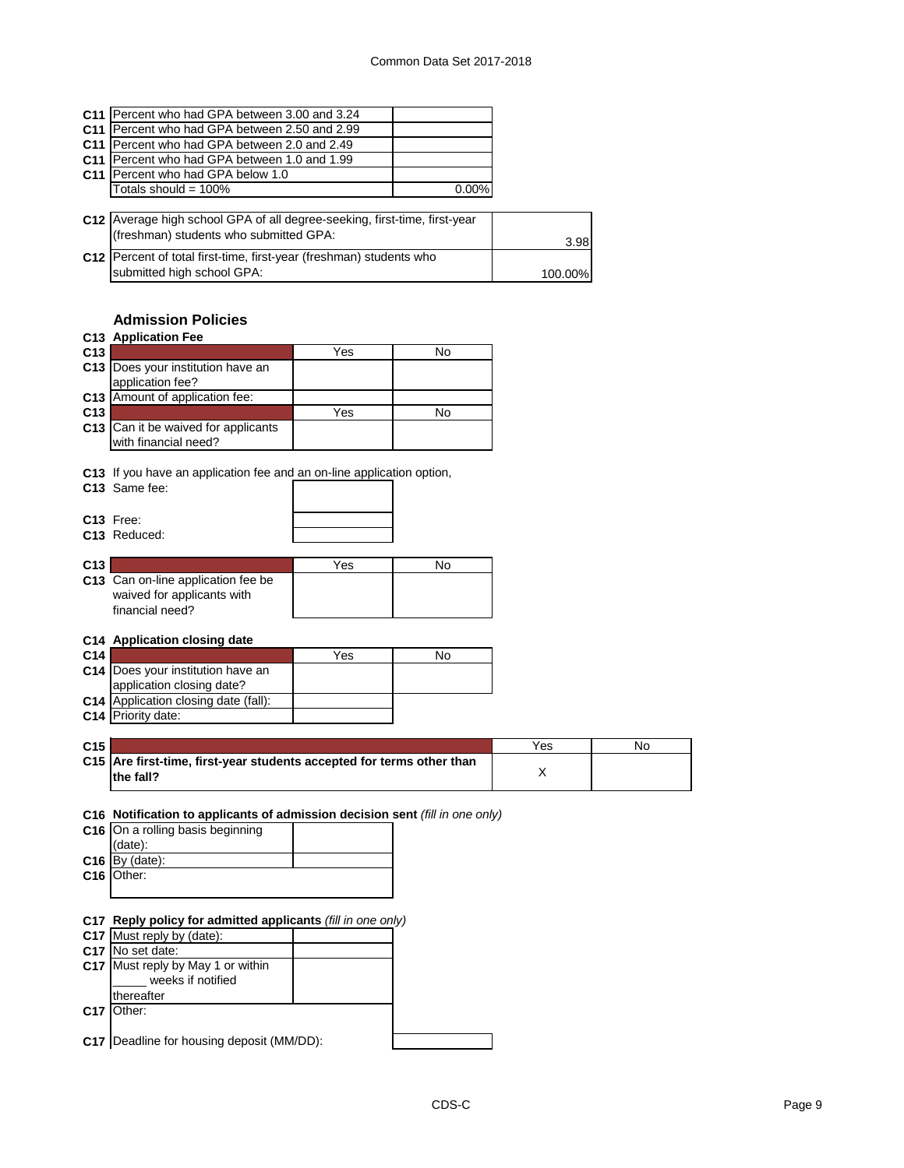| <b>C11 IPercent who had GPA between 3.00 and 3.24</b>                     |         |
|---------------------------------------------------------------------------|---------|
| C11 Percent who had GPA between 2.50 and 2.99                             |         |
| C11 Percent who had GPA between 2.0 and 2.49                              |         |
| C11 Percent who had GPA between 1.0 and 1.99                              |         |
| C11 Percent who had GPA below 1.0                                         |         |
| Totals should = $100\%$<br>0.00%                                          |         |
|                                                                           |         |
| C12 Average high school GPA of all degree-seeking, first-time, first-year |         |
| (freshman) students who submitted GPA:                                    | 3.98    |
| C12 Percent of total first-time, first-year (freshman) students who       |         |
| submitted high school GPA:                                                | 100.00% |

## **Admission Policies**

| C <sub>13</sub>                                                                        | Yes | No |
|----------------------------------------------------------------------------------------|-----|----|
| Does your institution have an<br>C <sub>13</sub>                                       |     |    |
| application fee?                                                                       |     |    |
| Amount of application fee:<br>C <sub>13</sub>                                          |     |    |
| C <sub>13</sub>                                                                        | Yes | No |
| C13 Can it be waived for applicants<br>with financial need?                            |     |    |
| C13 If you have an application fee and an on-line application option,<br>C13 Same fee: |     |    |
| C <sub>13</sub> Free:                                                                  |     |    |
| C13 Reduced:                                                                           |     |    |
|                                                                                        |     |    |
| C13                                                                                    | Yes | No |
| C13 Can on-line application fee be                                                     |     |    |
|                                                                                        |     |    |
| waived for applicants with                                                             |     |    |
| financial need?                                                                        |     |    |
|                                                                                        |     |    |
| C14 Application closing date                                                           |     |    |
| C14                                                                                    | Yes | No |
| C14 Does your institution have an                                                      |     |    |
| application closing date?                                                              |     |    |
| C14 Application closing date (fall):<br><b>C14</b> Priority date:                      |     |    |

| C15 |                                                                                     | Yes | N <sub>O</sub> |
|-----|-------------------------------------------------------------------------------------|-----|----------------|
|     | C15 Are first-time, first-year students accepted for terms other than<br>lthe fall? |     |                |
|     |                                                                                     |     |                |

**C16 Notification to applicants of admission decision sent** *(fill in one only)*

| C16 On a rolling basis beginning |
|----------------------------------|
| (data):                          |
| $C16$ By (date):                 |
| C16 Other:                       |
|                                  |

**C17 Reply policy for admitted applicants** *(fill in one only)*

| <b>The Police of Community application</b> ( <i>iiii iii</i> cho chif) |  |
|------------------------------------------------------------------------|--|
| C17 Must reply by (date):                                              |  |
| C <sub>17</sub> No set date:                                           |  |
| C17 Must reply by May 1 or within<br>weeks if notified                 |  |
| thereafter                                                             |  |
| C17 Other:                                                             |  |
|                                                                        |  |
| <b>C17</b> Deadline for housing deposit (MM/DD):                       |  |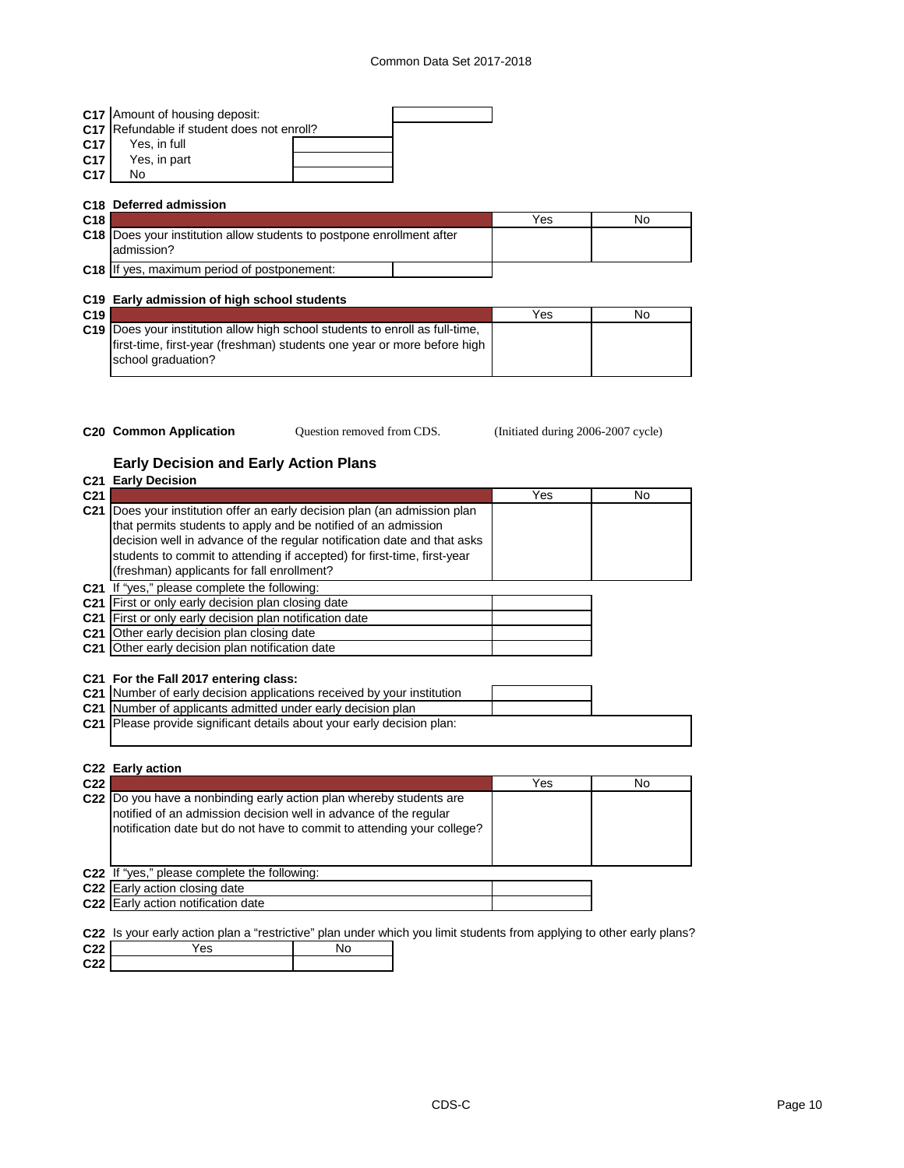|                 | C17 Amount of housing deposit:             |  |
|-----------------|--------------------------------------------|--|
|                 | C17 Refundable if student does not enroll? |  |
| C <sub>17</sub> | Yes, in full                               |  |
| C17             | Yes, in part                               |  |
| C <sub>17</sub> | No                                         |  |
|                 |                                            |  |

|     | C <sub>18</sub> Deferred admission                                                         |     |    |
|-----|--------------------------------------------------------------------------------------------|-----|----|
| C18 |                                                                                            | Yes | No |
|     | <b>C18</b> Does your institution allow students to postpone enrollment after<br>admission? |     |    |
|     | <b>C18</b> If yes, maximum period of postponement:                                         |     |    |

## **C19 Early admission of high school students**

| C19 |                                                                              | Yes | No |
|-----|------------------------------------------------------------------------------|-----|----|
|     | C19 Does your institution allow high school students to enroll as full-time. |     |    |
|     | first-time, first-year (freshman) students one year or more before high      |     |    |
|     | school graduation?                                                           |     |    |
|     |                                                                              |     |    |

- 
- Question removed from CDS.

**C20 Common Application Caucal C20 Common Application CD3** *Question removed from CDS.* (Initiated during 2006-2007 cycle)

## **Early Decision and Early Action Plans**

| that permits students to apply and be notified of an admission<br>decision well in advance of the regular notification date and that asks<br>students to commit to attending if accepted) for first-time, first-year<br>(freshman) applicants for fall enrollment?<br>C21 If "yes," please complete the following:<br>C21 First or only early decision plan closing date<br>C <sub>21</sub> First or only early decision plan notification date<br>C21 Other early decision plan closing date<br>C21 Other early decision plan notification date<br>C21 For the Fall 2017 entering class:<br>C21 Number of early decision applications received by your institution<br>C21 Number of applicants admitted under early decision plan<br><b>C21</b> Please provide significant details about your early decision plan: | <b>C21 Early Decision</b><br>C <sub>21</sub>                              | Yes | No |
|---------------------------------------------------------------------------------------------------------------------------------------------------------------------------------------------------------------------------------------------------------------------------------------------------------------------------------------------------------------------------------------------------------------------------------------------------------------------------------------------------------------------------------------------------------------------------------------------------------------------------------------------------------------------------------------------------------------------------------------------------------------------------------------------------------------------|---------------------------------------------------------------------------|-----|----|
|                                                                                                                                                                                                                                                                                                                                                                                                                                                                                                                                                                                                                                                                                                                                                                                                                     | C21 Does your institution offer an early decision plan (an admission plan |     |    |
|                                                                                                                                                                                                                                                                                                                                                                                                                                                                                                                                                                                                                                                                                                                                                                                                                     |                                                                           |     |    |
|                                                                                                                                                                                                                                                                                                                                                                                                                                                                                                                                                                                                                                                                                                                                                                                                                     |                                                                           |     |    |
|                                                                                                                                                                                                                                                                                                                                                                                                                                                                                                                                                                                                                                                                                                                                                                                                                     |                                                                           |     |    |
|                                                                                                                                                                                                                                                                                                                                                                                                                                                                                                                                                                                                                                                                                                                                                                                                                     |                                                                           |     |    |
|                                                                                                                                                                                                                                                                                                                                                                                                                                                                                                                                                                                                                                                                                                                                                                                                                     |                                                                           |     |    |
|                                                                                                                                                                                                                                                                                                                                                                                                                                                                                                                                                                                                                                                                                                                                                                                                                     |                                                                           |     |    |
|                                                                                                                                                                                                                                                                                                                                                                                                                                                                                                                                                                                                                                                                                                                                                                                                                     |                                                                           |     |    |
|                                                                                                                                                                                                                                                                                                                                                                                                                                                                                                                                                                                                                                                                                                                                                                                                                     |                                                                           |     |    |
|                                                                                                                                                                                                                                                                                                                                                                                                                                                                                                                                                                                                                                                                                                                                                                                                                     |                                                                           |     |    |
|                                                                                                                                                                                                                                                                                                                                                                                                                                                                                                                                                                                                                                                                                                                                                                                                                     |                                                                           |     |    |
|                                                                                                                                                                                                                                                                                                                                                                                                                                                                                                                                                                                                                                                                                                                                                                                                                     |                                                                           |     |    |
|                                                                                                                                                                                                                                                                                                                                                                                                                                                                                                                                                                                                                                                                                                                                                                                                                     |                                                                           |     |    |
|                                                                                                                                                                                                                                                                                                                                                                                                                                                                                                                                                                                                                                                                                                                                                                                                                     |                                                                           |     |    |
|                                                                                                                                                                                                                                                                                                                                                                                                                                                                                                                                                                                                                                                                                                                                                                                                                     |                                                                           |     |    |
|                                                                                                                                                                                                                                                                                                                                                                                                                                                                                                                                                                                                                                                                                                                                                                                                                     |                                                                           |     |    |
|                                                                                                                                                                                                                                                                                                                                                                                                                                                                                                                                                                                                                                                                                                                                                                                                                     |                                                                           |     |    |
| C22 Early action                                                                                                                                                                                                                                                                                                                                                                                                                                                                                                                                                                                                                                                                                                                                                                                                    | C <sub>22</sub>                                                           | Yes | No |

| C <sub>22</sub> |                                                                                                                                                                                                                    | Yes | No |
|-----------------|--------------------------------------------------------------------------------------------------------------------------------------------------------------------------------------------------------------------|-----|----|
|                 | C22  Do you have a nonbinding early action plan whereby students are<br>notified of an admission decision well in advance of the regular<br>notification date but do not have to commit to attending your college? |     |    |
|                 | C22 If "yes," please complete the following:                                                                                                                                                                       |     |    |
|                 | C <sub>22</sub> Early action closing date                                                                                                                                                                          |     |    |
|                 | C <sub>22</sub> Early action notification date                                                                                                                                                                     |     |    |

**C22** Is your early action plan a "restrictive" plan under which you limit students from applying to other early plans?

| C <sub>22</sub> | es |  |
|-----------------|----|--|
| C <sub>22</sub> |    |  |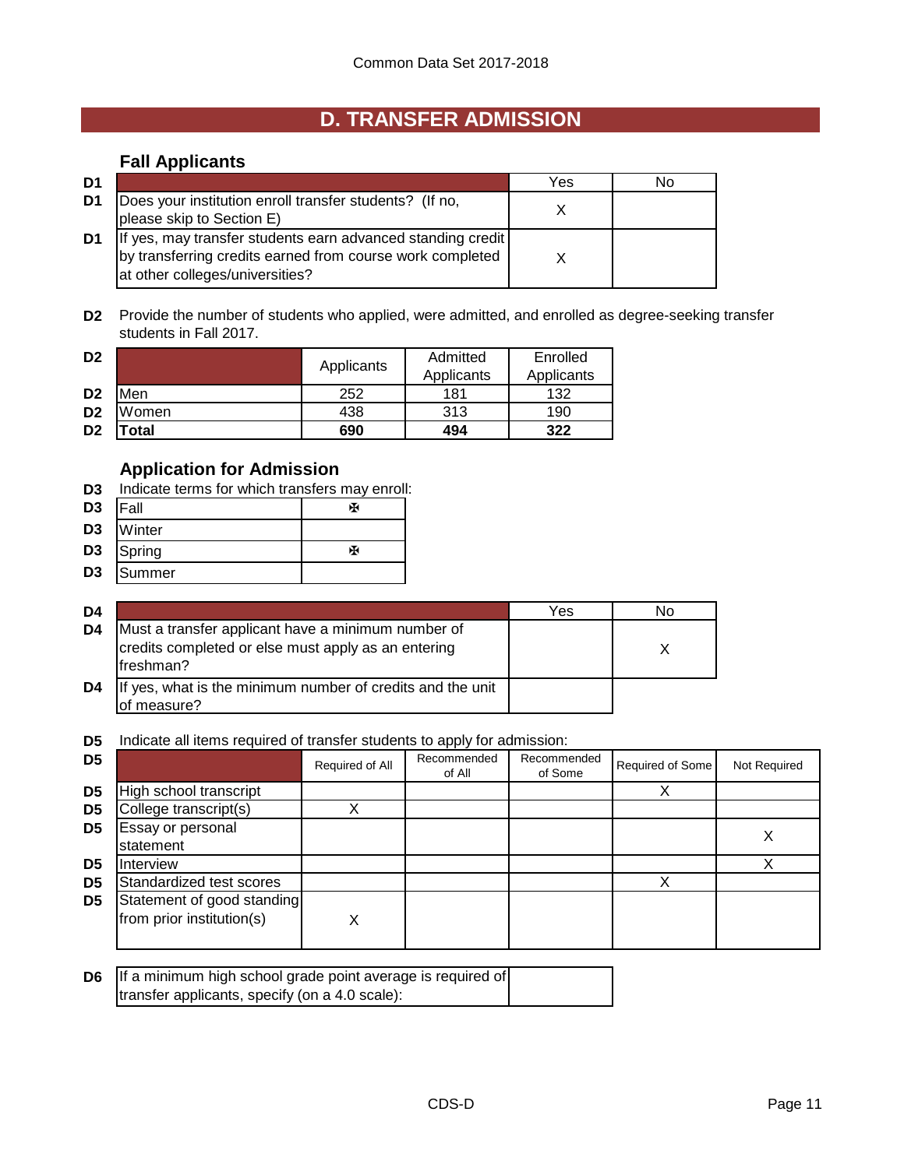## **D. TRANSFER ADMISSION**

## **Fall Applicants**

| D1 |                                                                                                                                                             | Yes | Nο |
|----|-------------------------------------------------------------------------------------------------------------------------------------------------------------|-----|----|
| D1 | Does your institution enroll transfer students? (If no,<br>please skip to Section E)                                                                        |     |    |
| D1 | If yes, may transfer students earn advanced standing credit<br>by transferring credits earned from course work completed<br>at other colleges/universities? |     |    |

**D2** Provide the number of students who applied, were admitted, and enrolled as degree-seeking transfer students in Fall 2017.

| D <sub>2</sub> |             | Applicants | Admitted   | Enrolled   |
|----------------|-------------|------------|------------|------------|
|                |             |            | Applicants | Applicants |
| D <sub>2</sub> | Men         | 252        | 181        | 132        |
| D <sub>2</sub> | Women       | 438        | 313        | 190        |
| D <sub>2</sub> | <b>otal</b> | 690        | 494        | 322        |

## **Application for Admission**

- **D3** Indicate terms for which transfers may enroll:
- D3 |Fall | 图 **D3** Winter
- D3 Spring Beau and Beau and Beau and Beau and Beau and Beau and Beau and Beau and Beau and Beau and Beau and Beau and Beau and Beau and Beau and Beau and Beau and Beau and Beau and Beau and Beau and Beau and Beau and Beau
- **D3** Summer

| D4 |                                                                                                                        | Yes | No |
|----|------------------------------------------------------------------------------------------------------------------------|-----|----|
| D4 | Must a transfer applicant have a minimum number of<br>credits completed or else must apply as an entering<br>freshman? |     |    |
| D4 | If yes, what is the minimum number of credits and the unit<br>lof measure?                                             |     |    |

## **D5** Indicate all items required of transfer students to apply for admission:

| D <sub>5</sub> |                                                         | Required of All | Recommended<br>of All | Recommended<br>of Some | Required of Some | Not Required |
|----------------|---------------------------------------------------------|-----------------|-----------------------|------------------------|------------------|--------------|
| D <sub>5</sub> | High school transcript                                  |                 |                       |                        |                  |              |
| D <sub>5</sub> | College transcript(s)                                   |                 |                       |                        |                  |              |
| D <sub>5</sub> | Essay or personal<br>statement                          |                 |                       |                        |                  | ∧            |
| D <sub>5</sub> | Interview                                               |                 |                       |                        |                  |              |
| D <sub>5</sub> | Standardized test scores                                |                 |                       |                        |                  |              |
| D <sub>5</sub> | Statement of good standing<br>from prior institution(s) | χ               |                       |                        |                  |              |

| <b>D6</b> If a minimum high school grade point average is required of |  |
|-----------------------------------------------------------------------|--|
| transfer applicants, specify (on a 4.0 scale):                        |  |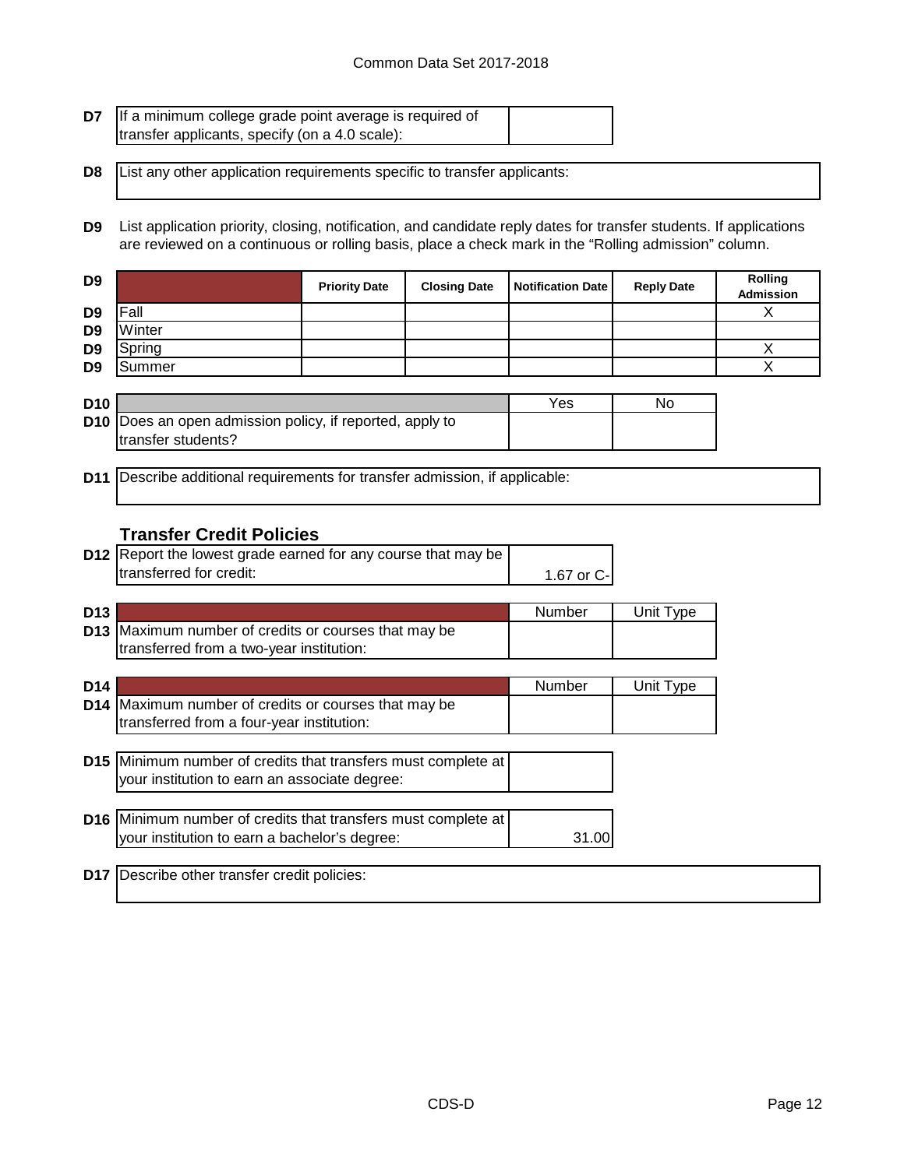| <b>D7</b> If a minimum college grade point average is required of |  |
|-------------------------------------------------------------------|--|
| transfer applicants, specify (on a 4.0 scale):                    |  |

**D8** List any other application requirements specific to transfer applicants:

**D9** List application priority, closing, notification, and candidate reply dates for transfer students. If applications are reviewed on a continuous or rolling basis, place a check mark in the "Rolling admission" column.

| D <sub>9</sub> |        | <b>Priority Date</b> | <b>Closing Date</b> | <b>Notification Date</b> | <b>Reply Date</b> | <b>Rolling</b><br>Admission |
|----------------|--------|----------------------|---------------------|--------------------------|-------------------|-----------------------------|
| D <sub>9</sub> | Fall   |                      |                     |                          |                   |                             |
| D <sub>9</sub> | Winter |                      |                     |                          |                   |                             |
| D <sub>9</sub> | Spring |                      |                     |                          |                   |                             |
| D <sub>9</sub> | Summer |                      |                     |                          |                   |                             |
|                |        |                      |                     |                          |                   |                             |

| <b>D10</b> |                                                                 | Yes | No |
|------------|-----------------------------------------------------------------|-----|----|
|            | <b>D10</b> Does an open admission policy, if reported, apply to |     |    |
|            | Itransfer students?                                             |     |    |

**D11** Describe additional requirements for transfer admission, if applicable:

## **Transfer Credit Policies**

| <b>D12</b> Report the lowest grade earned for any course that may be |             |
|----------------------------------------------------------------------|-------------|
| transferred for credit:                                              | 1.67 or C-I |

| D <sub>13</sub> |                                                             | Number | Unit Type |
|-----------------|-------------------------------------------------------------|--------|-----------|
|                 | <b>D13</b> Maximum number of credits or courses that may be |        |           |
|                 | transferred from a two-year institution:                    |        |           |

| D <sub>14</sub> |                                                                                                                  | Number | Unit Type |
|-----------------|------------------------------------------------------------------------------------------------------------------|--------|-----------|
|                 | D14 Maximum number of credits or courses that may be<br>transferred from a four-year institution:                |        |           |
|                 | D15   Minimum number of credits that transfers must complete at<br>your institution to earn an associate degree: |        |           |
|                 | D16 Minimum number of credits that transfers must complete at<br>your institution to earn a bachelor's degree:   |        |           |

**D17** Describe other transfer credit policies: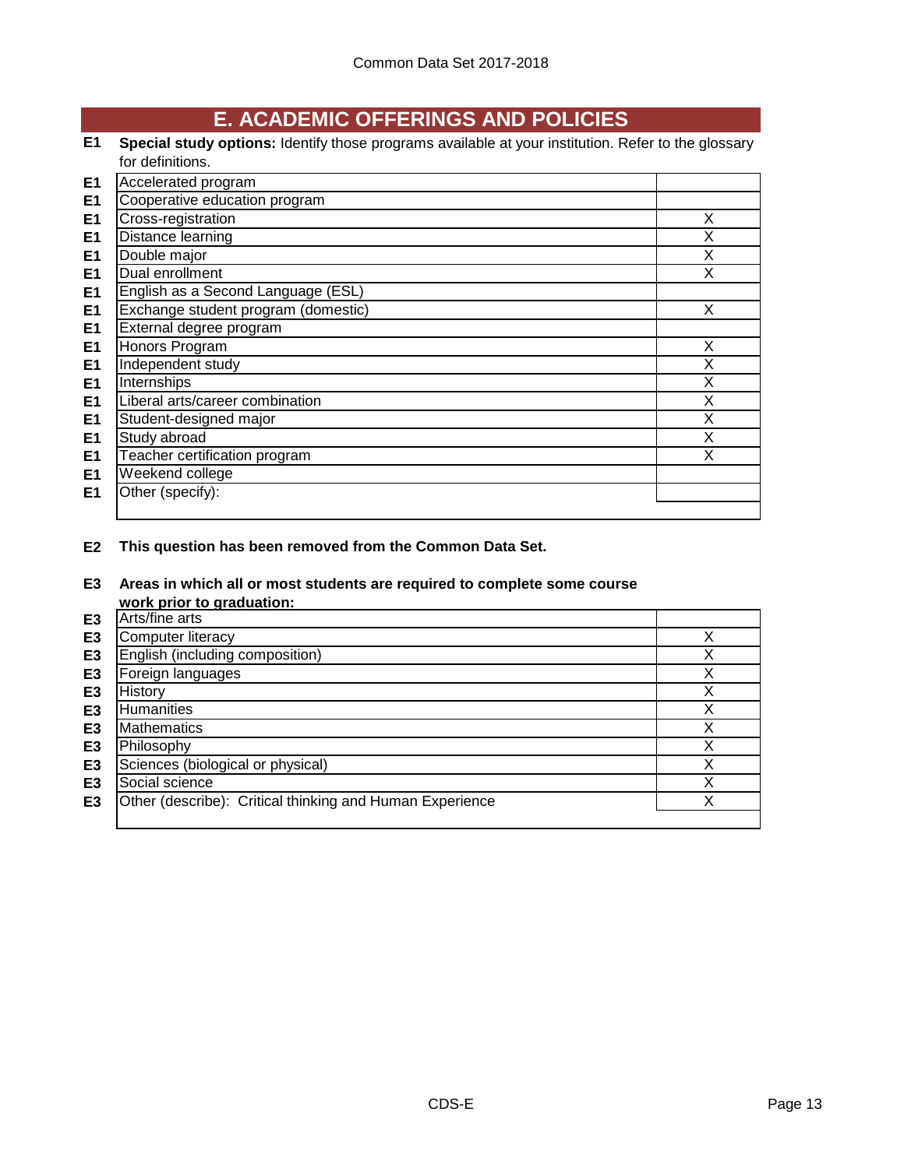# **E. ACADEMIC OFFERINGS AND POLICIES**

## **E1 Special study options:** Identify those programs available at your institution. Refer to the glossary for definitions.

| E <sub>1</sub> | Accelerated program                 |   |
|----------------|-------------------------------------|---|
| E <sub>1</sub> | Cooperative education program       |   |
| E <sub>1</sub> | Cross-registration                  | X |
| E <sub>1</sub> | Distance learning                   | X |
| E <sub>1</sub> | Double major                        | X |
| E <sub>1</sub> | Dual enrollment                     | X |
| E <sub>1</sub> | English as a Second Language (ESL)  |   |
| E <sub>1</sub> | Exchange student program (domestic) | X |
| E <sub>1</sub> | External degree program             |   |
| E <sub>1</sub> | Honors Program                      | X |
| E <sub>1</sub> | Independent study                   | X |
| E <sub>1</sub> | Internships                         | X |
| E <sub>1</sub> | Liberal arts/career combination     | X |
| E <sub>1</sub> | Student-designed major              | X |
| E <sub>1</sub> | Study abroad                        | X |
| E <sub>1</sub> | Teacher certification program       | X |
| E <sub>1</sub> | Weekend college                     |   |
| E <sub>1</sub> | Other (specify):                    |   |
|                |                                     |   |

**E2 This question has been removed from the Common Data Set.**

# **E3 Areas in which all or most students are required to complete some course**

|                | work prior to graduation:                                |   |
|----------------|----------------------------------------------------------|---|
| E <sub>3</sub> | Arts/fine arts                                           |   |
| E <sub>3</sub> | <b>Computer literacy</b>                                 |   |
| E <sub>3</sub> | English (including composition)                          |   |
| E3             | Foreign languages                                        |   |
| E3             | History                                                  | х |
| E3             | Humanities                                               | Χ |
| E <sub>3</sub> | <b>Mathematics</b>                                       |   |
| E3             | Philosophy                                               |   |
| E <sub>3</sub> | Sciences (biological or physical)                        |   |
| E <sub>3</sub> | Social science                                           |   |
| E <sub>3</sub> | Other (describe): Critical thinking and Human Experience |   |
|                |                                                          |   |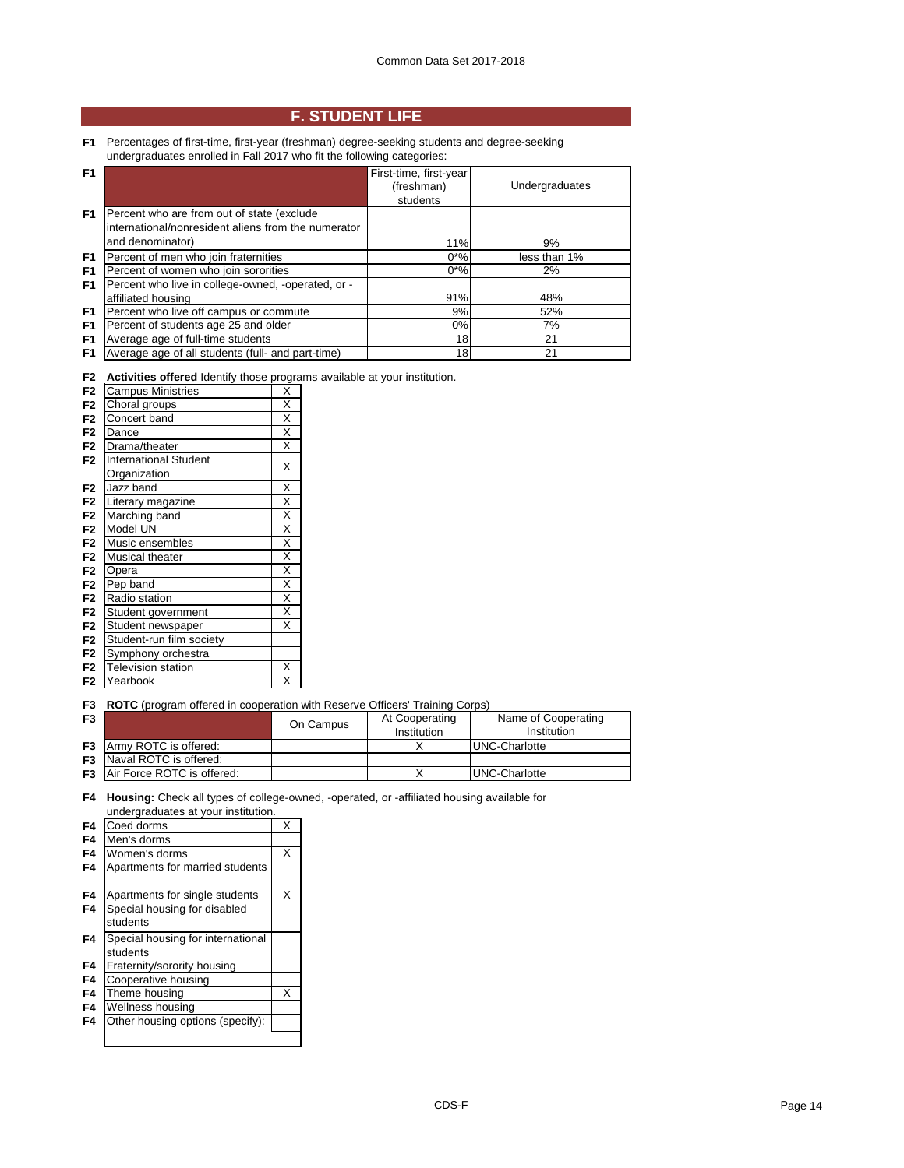## **F. STUDENT LIFE**

**F1** Percentages of first-time, first-year (freshman) degree-seeking students and degree-seeking undergraduates enrolled in Fall 2017 who fit the following categories:

| F <sub>1</sub> |                                                     | First-time, first-year |                |
|----------------|-----------------------------------------------------|------------------------|----------------|
|                |                                                     | (freshman)             | Undergraduates |
|                |                                                     | students               |                |
| F1             | Percent who are from out of state (exclude          |                        |                |
|                | international/nonresident aliens from the numerator |                        |                |
|                | and denominator)                                    | 11%                    | 9%             |
| F1             | Percent of men who join fraternities                | $0*%$                  | less than 1%   |
| F <sub>1</sub> | Percent of women who join sororities                | $0*%$                  | 2%             |
| F <sub>1</sub> | Percent who live in college-owned, -operated, or -  |                        |                |
|                | affiliated housing                                  | 91%                    | 48%            |
| F <sub>1</sub> | Percent who live off campus or commute              | 9%                     | 52%            |
| F <sub>1</sub> | Percent of students age 25 and older                | $0\%$                  | 7%             |
| F <sub>1</sub> | Average age of full-time students                   | 18                     | 21             |
| F1             | Average age of all students (full- and part-time)   | 18                     | 21             |

|  | <b>F2</b> Activities offered Identify those programs available at your institution. |
|--|-------------------------------------------------------------------------------------|
|  |                                                                                     |

|                | Activities offered facility those progra |                         |
|----------------|------------------------------------------|-------------------------|
| F <sub>2</sub> | <b>Campus Ministries</b>                 | Χ                       |
| F <sub>2</sub> | Choral groups                            | $\overline{\mathsf{x}}$ |
| F <sub>2</sub> | Concert band                             | $\overline{\mathsf{x}}$ |
| F <sub>2</sub> | Dance                                    | $\overline{\mathsf{x}}$ |
| F <sub>2</sub> | Drama/theater                            | X                       |
| F <sub>2</sub> | <b>International Student</b>             | X                       |
|                | Organization                             |                         |
| F <sub>2</sub> | Jazz band                                | X                       |
| F <sub>2</sub> | Literary magazine                        | X                       |
| F <sub>2</sub> | Marching band                            | Χ                       |
| F <sub>2</sub> | Model UN                                 | χ                       |
| F <sub>2</sub> | Music ensembles                          | X                       |
| F <sub>2</sub> | <b>Musical theater</b>                   | $\overline{\mathsf{x}}$ |
| F <sub>2</sub> | Opera                                    | $\overline{\mathsf{x}}$ |
| F <sub>2</sub> | Pep band                                 | X                       |
| F <sub>2</sub> | Radio station                            | $\overline{\mathsf{x}}$ |
| F <sub>2</sub> | Student government                       | $\overline{\mathsf{x}}$ |
| F <sub>2</sub> | Student newspaper                        | X                       |
| F <sub>2</sub> | Student-run film society                 |                         |
| F <sub>2</sub> | Symphony orchestra                       |                         |
| F <sub>2</sub> | <b>Television station</b>                | X                       |
| F2             | Yearbook                                 | Χ                       |

#### **F3 ROTC** (program offered in cooperation with Reserve Officers' Training Corps)

| F <sub>3</sub> |                                      | On Campus | At Cooperating<br>Institution | Name of Cooperating<br>Institution |
|----------------|--------------------------------------|-----------|-------------------------------|------------------------------------|
|                | <b>F3</b> Army ROTC is offered:      |           |                               | <b>IUNC-Charlotte</b>              |
|                | <b>F3</b> Naval ROTC is offered:     |           |                               |                                    |
|                | <b>F3</b> Air Force ROTC is offered: |           |                               | <b>IUNC-Charlotte</b>              |

**F4 Housing:** Check all types of college-owned, -operated, or -affiliated housing available for undergraduates at your institution.

| F4 | Coed dorms                                    | X |
|----|-----------------------------------------------|---|
| F4 | Men's dorms                                   |   |
| F4 | Women's dorms                                 | X |
| F4 | Apartments for married students               |   |
| F4 | Apartments for single students                | X |
| F4 | Special housing for disabled<br>students      |   |
| F4 | Special housing for international<br>students |   |
| F4 | Fraternity/sorority housing                   |   |
| F4 | Cooperative housing                           |   |
| F4 | Theme housing                                 | X |
| F4 | Wellness housing                              |   |
| F4 | Other housing options (specify):              |   |
|    |                                               |   |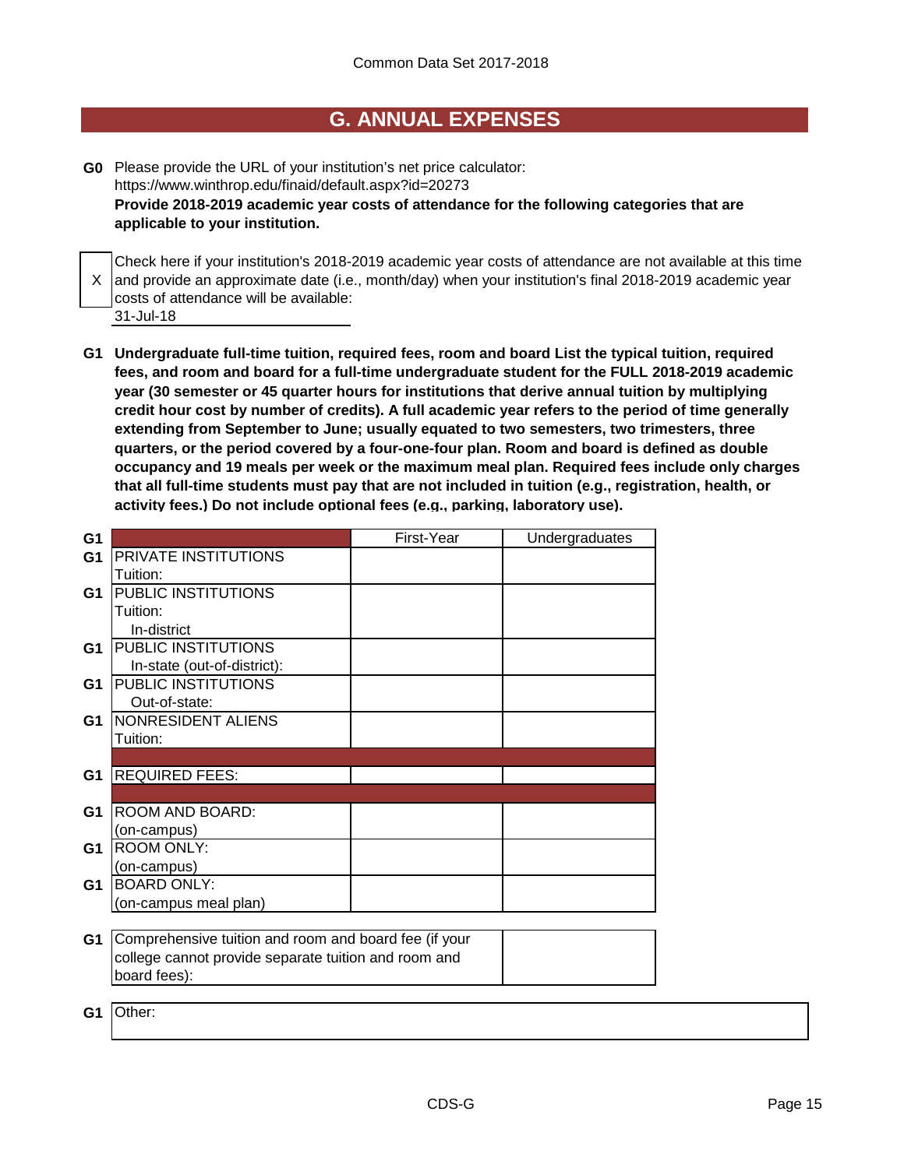## **G. ANNUAL EXPENSES**

**G0** Please provide the URL of your institution's net price calculator: https://www.winthrop.edu/finaid/default.aspx?id=20273 **Provide 2018-2019 academic year costs of attendance for the following categories that are applicable to your institution.**

X |and provide an approximate date (i.e., month/day) when your institution's final 2018-2019 academic year Check here if your institution's 2018-2019 academic year costs of attendance are not available at this time costs of attendance will be available:

- 31-Jul-18
- **G1 Undergraduate full-time tuition, required fees, room and board List the typical tuition, required fees, and room and board for a full-time undergraduate student for the FULL 2018-2019 academic year (30 semester or 45 quarter hours for institutions that derive annual tuition by multiplying credit hour cost by number of credits). A full academic year refers to the period of time generally extending from September to June; usually equated to two semesters, two trimesters, three quarters, or the period covered by a four-one-four plan. Room and board is defined as double occupancy and 19 meals per week or the maximum meal plan. Required fees include only charges that all full-time students must pay that are not included in tuition (e.g., registration, health, or activity fees.) Do not include optional fees (e.g., parking, laboratory use).**

| G <sub>1</sub> |                                                       | First-Year | Undergraduates |
|----------------|-------------------------------------------------------|------------|----------------|
| G <sub>1</sub> | PRIVATE INSTITUTIONS                                  |            |                |
|                | Tuition:                                              |            |                |
| G1             | PUBLIC INSTITUTIONS                                   |            |                |
|                | Tuition:                                              |            |                |
|                | In-district                                           |            |                |
| G1             | PUBLIC INSTITUTIONS                                   |            |                |
|                | In-state (out-of-district):                           |            |                |
| G1             | PUBLIC INSTITUTIONS                                   |            |                |
|                | Out-of-state:                                         |            |                |
| G1             | NONRESIDENT ALIENS                                    |            |                |
|                | Tuition:                                              |            |                |
|                |                                                       |            |                |
| G <sub>1</sub> | <b>REQUIRED FEES:</b>                                 |            |                |
|                |                                                       |            |                |
| G1             | ROOM AND BOARD:                                       |            |                |
|                | (on-campus)                                           |            |                |
| G <sub>1</sub> | <b>ROOM ONLY:</b>                                     |            |                |
|                | (on-campus)                                           |            |                |
| G <sub>1</sub> | <b>BOARD ONLY:</b>                                    |            |                |
|                | (on-campus meal plan)                                 |            |                |
|                |                                                       |            |                |
| G <sub>1</sub> | Comprehensive tuition and room and board fee (if your |            |                |
|                | college cannot provide separate tuition and room and  |            |                |
|                | board fees):                                          |            |                |
|                |                                                       |            |                |
| G1             | Other:                                                |            |                |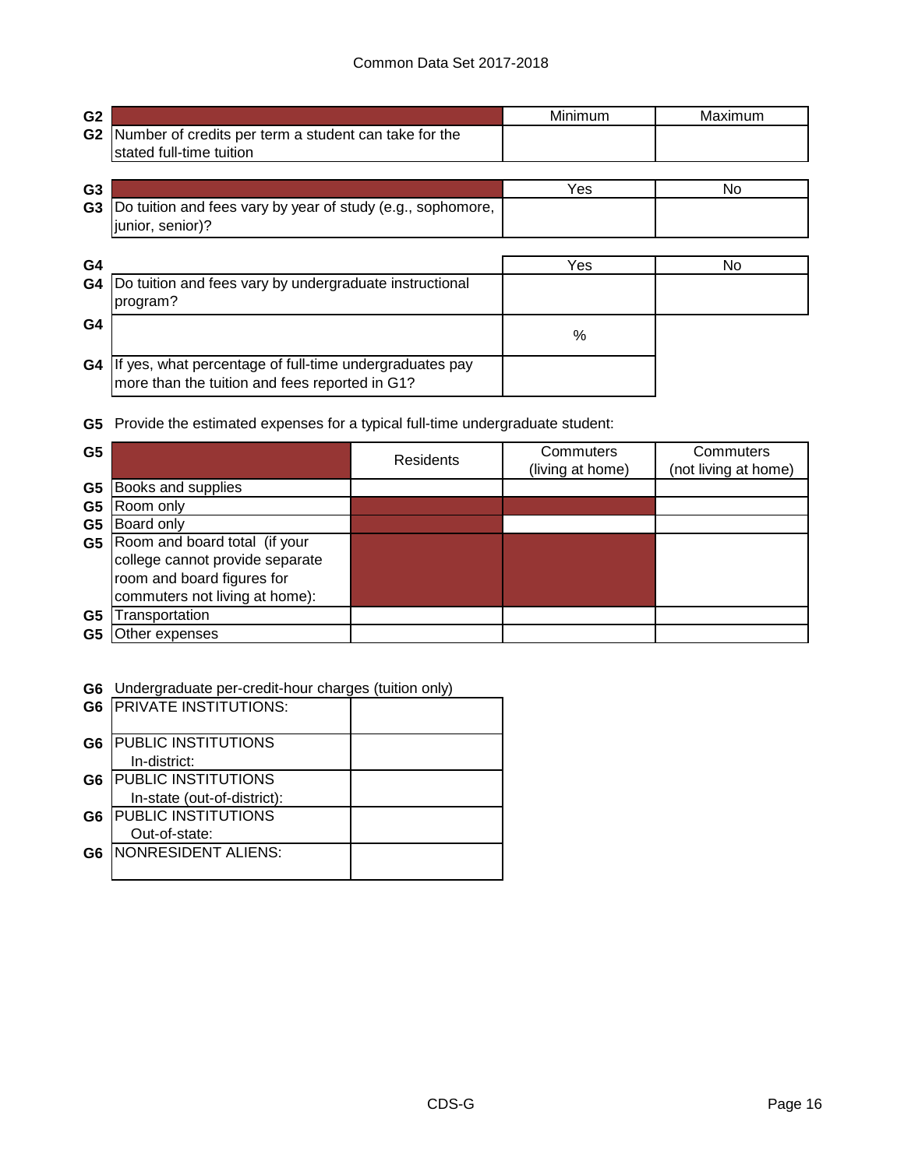| G <sub>2</sub> |                                                                                                           | Minimum | Maximum |
|----------------|-----------------------------------------------------------------------------------------------------------|---------|---------|
| G <sub>2</sub> | Number of credits per term a student can take for the<br>stated full-time tuition                         |         |         |
|                |                                                                                                           |         |         |
| G <sub>3</sub> |                                                                                                           | Yes     | No.     |
| G <sub>3</sub> | Do tuition and fees vary by year of study (e.g., sophomore,<br>junior, senior)?                           |         |         |
|                |                                                                                                           |         |         |
| G4             |                                                                                                           | Yes     | No.     |
| G4             | Do tuition and fees vary by undergraduate instructional<br>program?                                       |         |         |
| G <sub>4</sub> |                                                                                                           | %       |         |
| G4             | If yes, what percentage of full-time undergraduates pay<br>more than the tuition and fees reported in G1? |         |         |

**G5** Provide the estimated expenses for a typical full-time undergraduate student:

| G <sub>5</sub> |                                 | Residents | Commuters<br>(living at home) | Commuters<br>(not living at home) |
|----------------|---------------------------------|-----------|-------------------------------|-----------------------------------|
| G5             | Books and supplies              |           |                               |                                   |
| G <sub>5</sub> | Room only                       |           |                               |                                   |
| G <sub>5</sub> | Board only                      |           |                               |                                   |
| G <sub>5</sub> | Room and board total (if your   |           |                               |                                   |
|                | college cannot provide separate |           |                               |                                   |
|                | room and board figures for      |           |                               |                                   |
|                | commuters not living at home):  |           |                               |                                   |
| G5             | Transportation                  |           |                               |                                   |
| G5             | Other expenses                  |           |                               |                                   |

**G6** Undergraduate per-credit-hour charges (tuition only)

|                | <b>G6 PRIVATE INSTITUTIONS:</b> |  |
|----------------|---------------------------------|--|
| G <sub>6</sub> | <b>PUBLIC INSTITUTIONS</b>      |  |
|                | In-district:                    |  |
| G6             | <b>PUBLIC INSTITUTIONS</b>      |  |
|                | In-state (out-of-district):     |  |
| G6             | <b>PUBLIC INSTITUTIONS</b>      |  |
|                | Out-of-state:                   |  |
| G6             | INONRESIDENT ALIENS:            |  |
|                |                                 |  |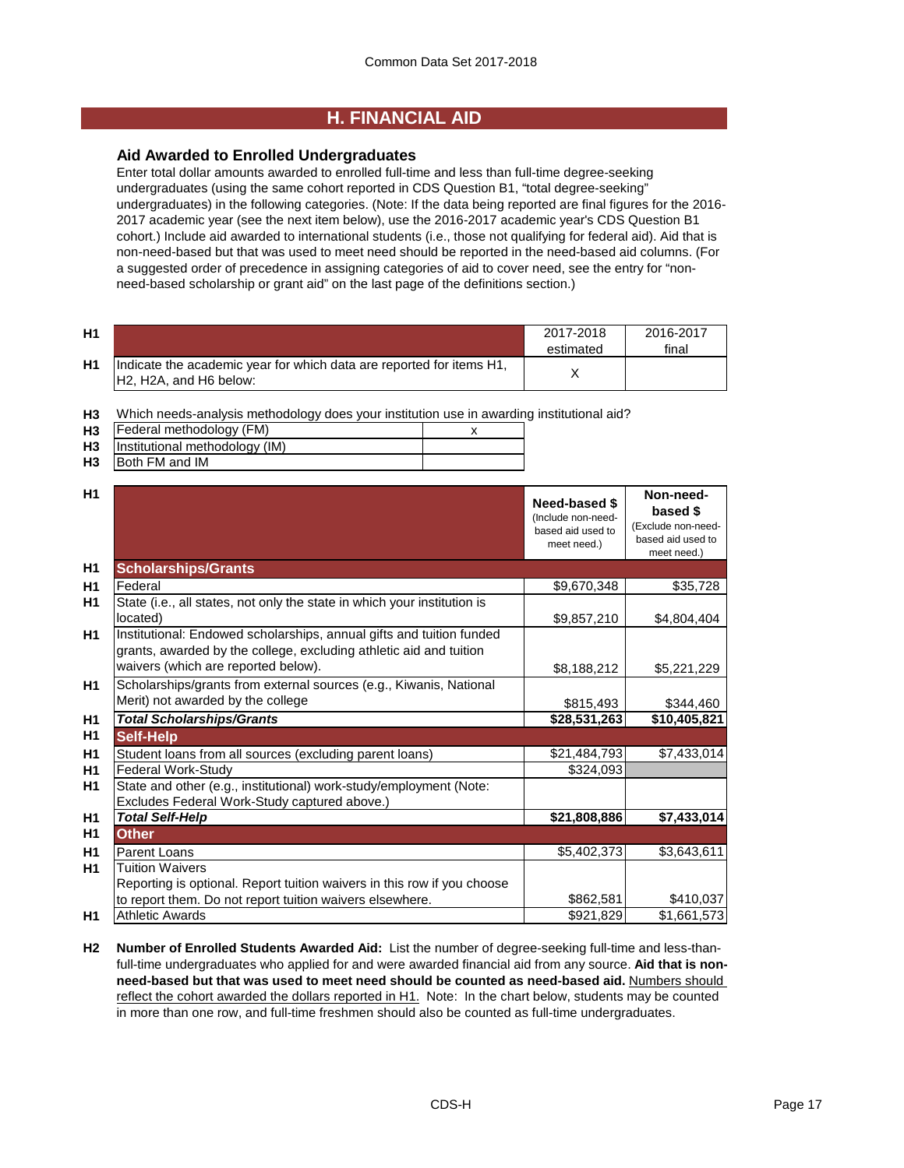## **H. FINANCIAL AID**

## **Aid Awarded to Enrolled Undergraduates**

Enter total dollar amounts awarded to enrolled full-time and less than full-time degree-seeking undergraduates (using the same cohort reported in CDS Question B1, "total degree-seeking" undergraduates) in the following categories. (Note: If the data being reported are final figures for the 2016- 2017 academic year (see the next item below), use the 2016-2017 academic year's CDS Question B1 cohort.) Include aid awarded to international students (i.e., those not qualifying for federal aid). Aid that is non-need-based but that was used to meet need should be reported in the need-based aid columns. (For a suggested order of precedence in assigning categories of aid to cover need, see the entry for "nonneed-based scholarship or grant aid" on the last page of the definitions section.)

| H <sub>1</sub> |                                                                                                                                      | 2017-2018<br>estimated | 2016-2017<br>final |
|----------------|--------------------------------------------------------------------------------------------------------------------------------------|------------------------|--------------------|
| H1             | Indicate the academic year for which data are reported for items H1,<br>H <sub>2</sub> , H <sub>2</sub> A, and H <sub>6</sub> below: |                        |                    |

**H3** Which needs-analysis methodology does your institution use in awarding institutional aid?

| H <sub>3</sub> | Federal methodology (FM)       |  |
|----------------|--------------------------------|--|
| H <sub>3</sub> | Institutional methodology (IM) |  |
| H <sub>3</sub> | Both FM and IM                 |  |

| H1             |                                                                                                                                                                                   | Need-based \$<br>(Include non-need-<br>based aid used to<br>meet need.) | Non-need-<br>based \$<br>(Exclude non-need-<br>based aid used to<br>meet need.) |
|----------------|-----------------------------------------------------------------------------------------------------------------------------------------------------------------------------------|-------------------------------------------------------------------------|---------------------------------------------------------------------------------|
| H <sub>1</sub> | <b>Scholarships/Grants</b>                                                                                                                                                        |                                                                         |                                                                                 |
| H1             | Federal                                                                                                                                                                           | \$9,670,348                                                             | \$35,728                                                                        |
| H1             | State (i.e., all states, not only the state in which your institution is<br>located)                                                                                              | \$9,857,210                                                             | \$4,804,404                                                                     |
| H1             | Institutional: Endowed scholarships, annual gifts and tuition funded<br>grants, awarded by the college, excluding athletic aid and tuition<br>waivers (which are reported below). | \$8,188,212                                                             | \$5,221,229                                                                     |
| <b>H1</b>      | Scholarships/grants from external sources (e.g., Kiwanis, National<br>Merit) not awarded by the college                                                                           | \$815,493                                                               | \$344,460                                                                       |
| H1             | <b>Total Scholarships/Grants</b>                                                                                                                                                  | \$28,531,263                                                            | \$10,405,821                                                                    |
| H1             | <b>Self-Help</b>                                                                                                                                                                  |                                                                         |                                                                                 |
| H1             | Student loans from all sources (excluding parent loans)                                                                                                                           | \$21,484,793                                                            | \$7,433,014                                                                     |
| H1             | <b>Federal Work-Study</b>                                                                                                                                                         | \$324,093                                                               |                                                                                 |
| H1             | State and other (e.g., institutional) work-study/employment (Note:<br>Excludes Federal Work-Study captured above.)                                                                |                                                                         |                                                                                 |
| H1             | <b>Total Self-Help</b>                                                                                                                                                            | \$21,808,886                                                            | \$7,433,014                                                                     |
| H1             | <b>Other</b>                                                                                                                                                                      |                                                                         |                                                                                 |
| H1             | Parent Loans                                                                                                                                                                      | \$5,402,373                                                             | \$3,643,611                                                                     |
| <b>H1</b>      | <b>Tuition Waivers</b><br>Reporting is optional. Report tuition waivers in this row if you choose                                                                                 |                                                                         |                                                                                 |
|                | to report them. Do not report tuition waivers elsewhere.                                                                                                                          | \$862,581                                                               | \$410,037                                                                       |
| H1             | <b>Athletic Awards</b>                                                                                                                                                            | \$921,829                                                               | \$1,661,573                                                                     |

**H2 Number of Enrolled Students Awarded Aid:** List the number of degree-seeking full-time and less-thanfull-time undergraduates who applied for and were awarded financial aid from any source. **Aid that is nonneed-based but that was used to meet need should be counted as need-based aid.** Numbers should reflect the cohort awarded the dollars reported in H1. Note: In the chart below, students may be counted in more than one row, and full-time freshmen should also be counted as full-time undergraduates.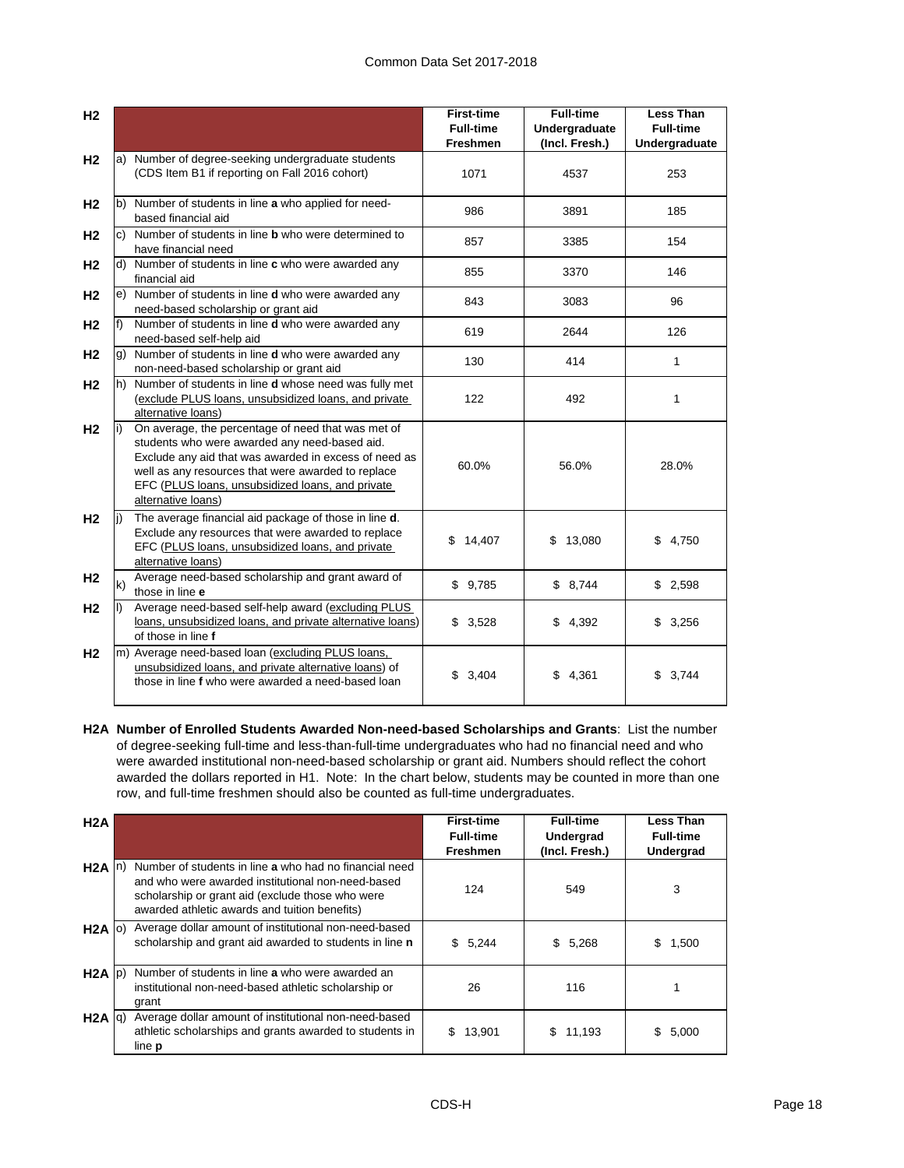| H <sub>2</sub> |     |                                                                                                                                                                                                                                                                                              | <b>First-time</b><br><b>Full-time</b><br>Freshmen | <b>Full-time</b><br>Undergraduate<br>(Incl. Fresh.) | <b>Less Than</b><br><b>Full-time</b><br>Undergraduate |
|----------------|-----|----------------------------------------------------------------------------------------------------------------------------------------------------------------------------------------------------------------------------------------------------------------------------------------------|---------------------------------------------------|-----------------------------------------------------|-------------------------------------------------------|
| H <sub>2</sub> |     | a) Number of degree-seeking undergraduate students<br>(CDS Item B1 if reporting on Fall 2016 cohort)                                                                                                                                                                                         | 1071                                              | 4537                                                | 253                                                   |
| H <sub>2</sub> |     | b) Number of students in line a who applied for need-<br>based financial aid                                                                                                                                                                                                                 | 986                                               | 3891                                                | 185                                                   |
| H <sub>2</sub> |     | c) Number of students in line <b>b</b> who were determined to<br>have financial need                                                                                                                                                                                                         | 857                                               | 3385                                                | 154                                                   |
| H <sub>2</sub> |     | d) Number of students in line c who were awarded any<br>financial aid                                                                                                                                                                                                                        | 855                                               | 3370                                                | 146                                                   |
| H <sub>2</sub> |     | e) Number of students in line d who were awarded any<br>need-based scholarship or grant aid                                                                                                                                                                                                  | 843                                               | 3083                                                | 96                                                    |
| H <sub>2</sub> | f)  | Number of students in line <b>d</b> who were awarded any<br>need-based self-help aid                                                                                                                                                                                                         | 619                                               | 2644                                                | 126                                                   |
| H <sub>2</sub> |     | g) Number of students in line d who were awarded any<br>non-need-based scholarship or grant aid                                                                                                                                                                                              | 130                                               | 414                                                 | 1                                                     |
| H <sub>2</sub> |     | h) Number of students in line <b>d</b> whose need was fully met<br>(exclude PLUS loans, unsubsidized loans, and private<br>alternative loans)                                                                                                                                                | 122                                               | 492                                                 | 1                                                     |
| H <sub>2</sub> | li) | On average, the percentage of need that was met of<br>students who were awarded any need-based aid.<br>Exclude any aid that was awarded in excess of need as<br>well as any resources that were awarded to replace<br>EFC (PLUS loans, unsubsidized loans, and private<br>alternative loans) | 60.0%                                             | 56.0%                                               | 28.0%                                                 |
| H <sub>2</sub> |     | The average financial aid package of those in line d.<br>Exclude any resources that were awarded to replace<br>EFC (PLUS loans, unsubsidized loans, and private<br>alternative loans)                                                                                                        | \$<br>14,407                                      | \$<br>13,080                                        | \$4,750                                               |
| H <sub>2</sub> | k)  | Average need-based scholarship and grant award of<br>those in line e                                                                                                                                                                                                                         | \$9,785                                           | \$8,744                                             | \$2,598                                               |
| H <sub>2</sub> |     | Average need-based self-help award (excluding PLUS<br>loans, unsubsidized loans, and private alternative loans)<br>of those in line f                                                                                                                                                        | \$3,528                                           | \$4,392                                             | \$3,256                                               |
| H <sub>2</sub> |     | m) Average need-based loan (excluding PLUS loans,<br>unsubsidized loans, and private alternative loans) of<br>those in line f who were awarded a need-based loan                                                                                                                             | 3,404<br>\$                                       | 4,361<br>\$                                         | \$3,744                                               |

**H2A Number of Enrolled Students Awarded Non-need-based Scholarships and Grants**: List the number of degree-seeking full-time and less-than-full-time undergraduates who had no financial need and who were awarded institutional non-need-based scholarship or grant aid. Numbers should reflect the cohort awarded the dollars reported in H1. Note: In the chart below, students may be counted in more than one row, and full-time freshmen should also be counted as full-time undergraduates.

| H2A                 |                                                                                                                                                                                                                  | <b>First-time</b><br><b>Full-time</b><br><b>Freshmen</b> | <b>Full-time</b><br>Undergrad<br>(Incl. Fresh.) | Less Than<br><b>Full-time</b><br><b>Undergrad</b> |
|---------------------|------------------------------------------------------------------------------------------------------------------------------------------------------------------------------------------------------------------|----------------------------------------------------------|-------------------------------------------------|---------------------------------------------------|
| H <sub>2</sub> A In | Number of students in line a who had no financial need<br>and who were awarded institutional non-need-based<br>scholarship or grant aid (exclude those who were<br>awarded athletic awards and tuition benefits) | 124                                                      | 549                                             | 3                                                 |
| $H2A$ (o)           | Average dollar amount of institutional non-need-based<br>scholarship and grant aid awarded to students in line n                                                                                                 | \$5,244                                                  | \$<br>5,268                                     | 1,500<br>S                                        |
| $H2A$ $ p\rangle$   | Number of students in line a who were awarded an<br>institutional non-need-based athletic scholarship or<br>grant                                                                                                | 26                                                       | 116                                             |                                                   |
| $H2A$ $q)$          | Average dollar amount of institutional non-need-based<br>athletic scholarships and grants awarded to students in<br>line <b>p</b>                                                                                | 13,901<br>\$.                                            | 11,193<br>S.                                    | 5,000<br>S.                                       |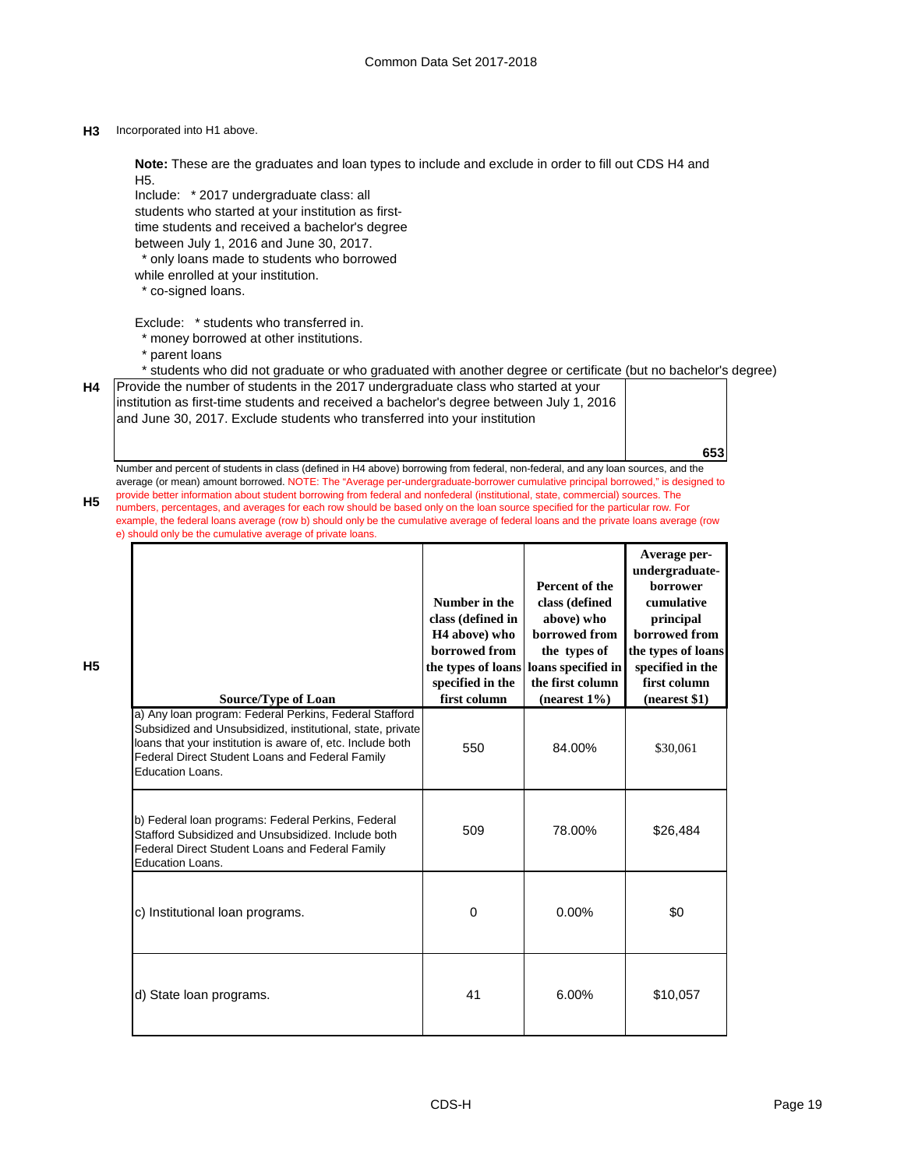### **H3** Incorporated into H1 above.

**Note:** These are the graduates and loan types to include and exclude in order to fill out CDS H4 and H5.

Include: \* 2017 undergraduate class: all students who started at your institution as firsttime students and received a bachelor's degree between July 1, 2016 and June 30, 2017.

\* only loans made to students who borrowed

- while enrolled at your institution.
- \* co-signed loans.

Exclude: \* students who transferred in.

- \* money borrowed at other institutions.
- \* parent loans

**H5**

**H5**

\* students who did not graduate or who graduated with another degree or certificate (but no bachelor's degree)

| H4   Provide the number of students in the 2017 undergraduate class who started at your   |
|-------------------------------------------------------------------------------------------|
| linstitution as first-time students and received a bachelor's degree between July 1, 2016 |
| and June 30, 2017. Exclude students who transferred into your institution                 |

Number and percent of students in class (defined in H4 above) borrowing from federal, non-federal, and any loan sources, and the average (or mean) amount borrowed. NOTE: The "Average per-undergraduate-borrower cumulative principal borrowed," is designed to provide better information about student borrowing from federal and nonfederal (institutional, state, commercial) sources. The numbers, percentages, and averages for each row should be based only on the loan source specified for the particular row. For example, the federal loans average (row b) should only be the cumulative average of federal loans and the private loans average (row e) should only be the cumulative average of private loans.

| <b>Source/Type of Loan</b>                                                                                                                                                                                                                                | Number in the<br>class (defined in<br>H <sub>4</sub> above) who<br>borrowed from<br>specified in the<br>first column | Percent of the<br>class (defined<br>above) who<br>borrowed from<br>the types of<br>the types of loans loans specified in<br>the first column<br>(nearest $1\%$ ) | Average per-<br>undergraduate-<br>borrower<br>cumulative<br>principal<br>borrowed from<br>the types of loans<br>specified in the<br>first column<br>(nearest \$1) |
|-----------------------------------------------------------------------------------------------------------------------------------------------------------------------------------------------------------------------------------------------------------|----------------------------------------------------------------------------------------------------------------------|------------------------------------------------------------------------------------------------------------------------------------------------------------------|-------------------------------------------------------------------------------------------------------------------------------------------------------------------|
| a) Any loan program: Federal Perkins, Federal Stafford<br>Subsidized and Unsubsidized, institutional, state, private<br>loans that your institution is aware of, etc. Include both<br>Federal Direct Student Loans and Federal Family<br>Education Loans. | 550                                                                                                                  | 84.00%                                                                                                                                                           | \$30,061                                                                                                                                                          |
| b) Federal loan programs: Federal Perkins, Federal<br>Stafford Subsidized and Unsubsidized, Include both<br>Federal Direct Student Loans and Federal Family<br>Education Loans.                                                                           | 509                                                                                                                  | 78.00%                                                                                                                                                           | \$26,484                                                                                                                                                          |
| c) Institutional loan programs.                                                                                                                                                                                                                           | $\Omega$                                                                                                             | $0.00\%$                                                                                                                                                         | \$0                                                                                                                                                               |
| d) State loan programs.                                                                                                                                                                                                                                   | 41                                                                                                                   | 6.00%                                                                                                                                                            | \$10,057                                                                                                                                                          |

**653**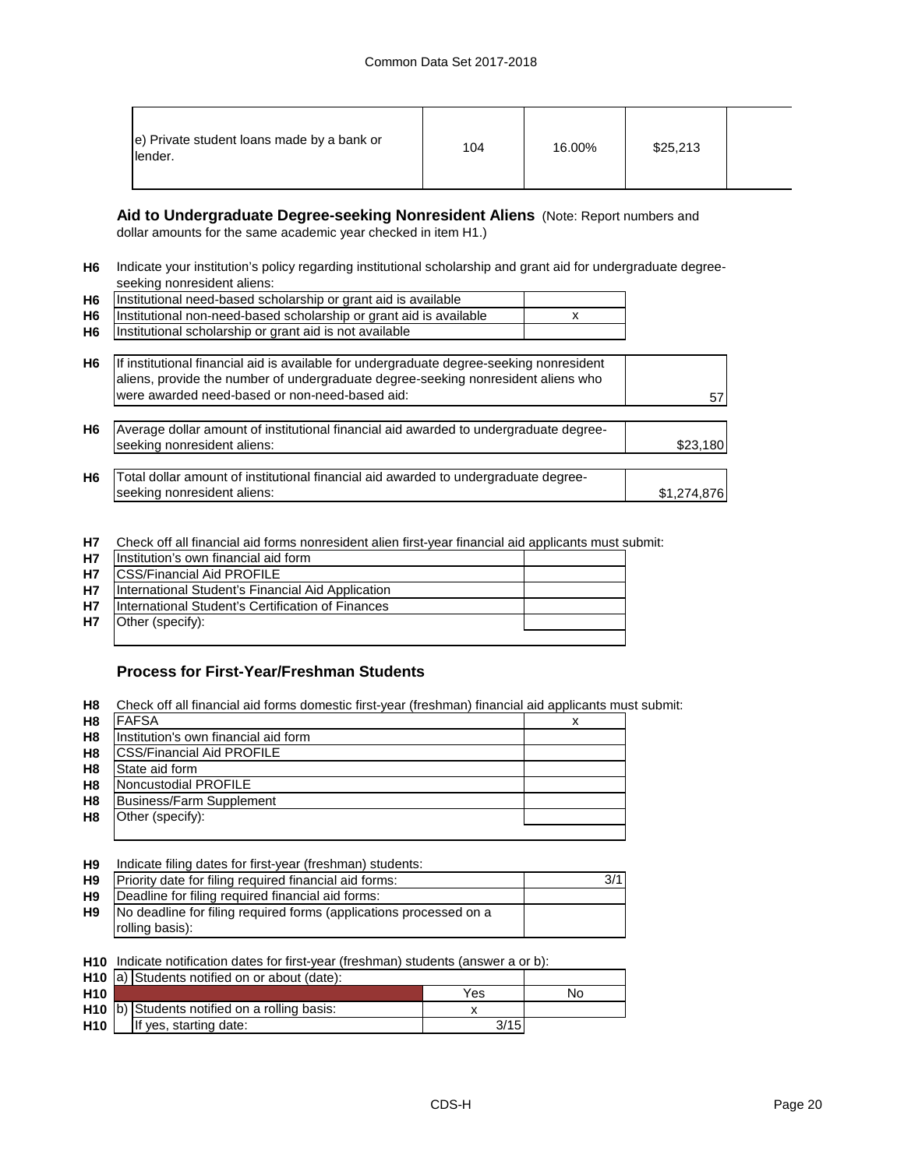| e) Private student loans made by a bank or<br>lender. | 104 | 16.00% | \$25,213 |  |
|-------------------------------------------------------|-----|--------|----------|--|
|-------------------------------------------------------|-----|--------|----------|--|

## **Aid to Undergraduate Degree-seeking Nonresident Aliens** (Note: Report numbers and

dollar amounts for the same academic year checked in item H1.)

**H6** Indicate your institution's policy regarding institutional scholarship and grant aid for undergraduate degreeseeking nonresident aliens:

| H <sub>6</sub> | Institutional need-based scholarship or grant aid is available                                                                                                                                                                  |             |
|----------------|---------------------------------------------------------------------------------------------------------------------------------------------------------------------------------------------------------------------------------|-------------|
| H <sub>6</sub> | Institutional non-need-based scholarship or grant aid is available                                                                                                                                                              |             |
| H <sub>6</sub> | Institutional scholarship or grant aid is not available                                                                                                                                                                         |             |
| H <sub>6</sub> | If institutional financial aid is available for undergraduate degree-seeking nonresident<br>aliens, provide the number of undergraduate degree-seeking nonresident aliens who<br>were awarded need-based or non-need-based aid: | 57          |
| H <sub>6</sub> | Average dollar amount of institutional financial aid awarded to undergraduate degree-<br>seeking nonresident aliens:                                                                                                            | \$23,180    |
| H <sub>6</sub> | Total dollar amount of institutional financial aid awarded to undergraduate degree-<br>seeking nonresident aliens:                                                                                                              | \$1,274,876 |

**H7** Check off all financial aid forms nonresident alien first-year financial aid applicants must submit:

| <b>H7</b> | Institution's own financial aid form              |  |
|-----------|---------------------------------------------------|--|
| <b>H7</b> | <b>ICSS/Financial Aid PROFILE</b>                 |  |
| <b>H7</b> | International Student's Financial Aid Application |  |
| <b>H7</b> | International Student's Certification of Finances |  |
| <b>H7</b> | Other (specify):                                  |  |
|           |                                                   |  |

## **Process for First-Year/Freshman Students**

**H8** Check off all financial aid forms domestic first-year (freshman) financial aid applicants must submit:

| H <sub>8</sub> | <b>FAFSA</b>                         |  |
|----------------|--------------------------------------|--|
| H <sub>8</sub> | Institution's own financial aid form |  |
| H <sub>8</sub> | <b>ICSS/Financial Aid PROFILE</b>    |  |
| H <sub>8</sub> | State aid form                       |  |
| H <sub>8</sub> | Noncustodial PROFILE                 |  |
| H <sub>8</sub> | Business/Farm Supplement             |  |
| H <sub>8</sub> | Other (specify):                     |  |
|                |                                      |  |

**H9** Indicate filing dates for first-year (freshman) students:

| H <sub>9</sub> | Priority date for filing required financial aid forms:             |  |
|----------------|--------------------------------------------------------------------|--|
| H <sub>9</sub> | Deadline for filing required financial aid forms:                  |  |
| H9             | No deadline for filing required forms (applications processed on a |  |
|                | rolling basis):                                                    |  |
|                |                                                                    |  |

**H10** Indicate notification dates for first-year (freshman) students (answer a or b):

|                 | H <sub>10</sub> a) Students notified on or about (date): |      |    |
|-----------------|----------------------------------------------------------|------|----|
| H <sub>10</sub> |                                                          | Yes  | No |
|                 | H <sub>10</sub> b) Students notified on a rolling basis: |      |    |
| <b>H10</b>      | If yes, starting date:                                   | 3/15 |    |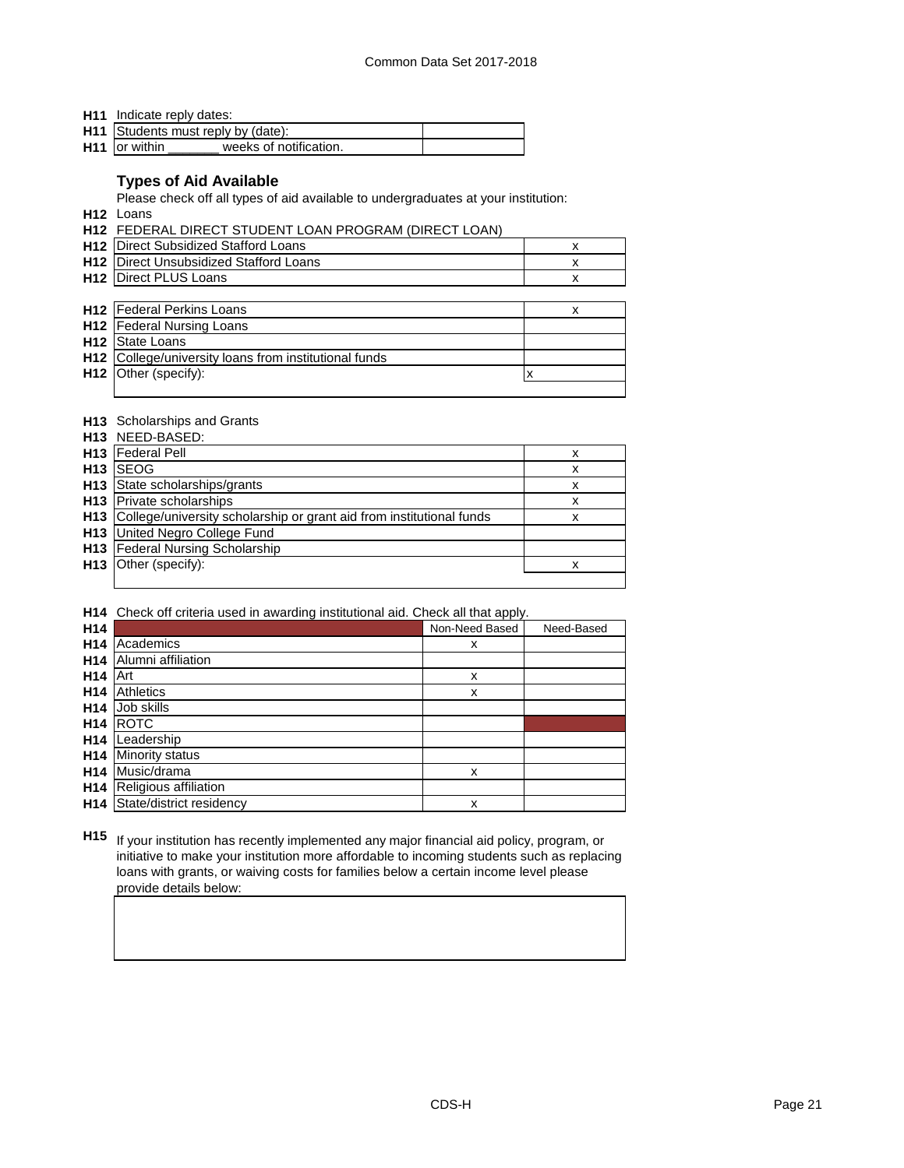**H11** Indicate reply dates:

| H11 Students must reply by (date):                  |  |
|-----------------------------------------------------|--|
| H <sub>11</sub> or within<br>weeks of notification. |  |

## **Types of Aid Available**

Please check off all types of aid available to undergraduates at your institution:

**H12** Loans

**H12** FEDERAL DIRECT STUDENT LOAN PROGRAM (DIRECT LOAN)

| <b>H12</b> Direct Subsidized Stafford Loans   |  |
|-----------------------------------------------|--|
| <b>H12</b> Direct Unsubsidized Stafford Loans |  |
| <b>H12 Direct PLUS Loans</b>                  |  |

| <b>H12</b> Federal Perkins Loans                      |  |
|-------------------------------------------------------|--|
| <b>H12</b> Federal Nursing Loans                      |  |
| <b>H12</b> State Loans                                |  |
| H12 College/university loans from institutional funds |  |
| H12 Other (specify):                                  |  |
|                                                       |  |

## **H13** Scholarships and Grants

|                 | <b>H13</b> NEED-BASED:                                                   |   |
|-----------------|--------------------------------------------------------------------------|---|
|                 | H <sub>13</sub> Federal Pell                                             | x |
| H <sub>13</sub> | <b>SEOG</b>                                                              | x |
|                 | <b>H13</b> State scholarships/grants                                     | x |
|                 | <b>H13</b> Private scholarships                                          | x |
|                 | H13 College/university scholarship or grant aid from institutional funds | x |
|                 | <b>H13</b> United Negro College Fund                                     |   |
|                 | H13 Federal Nursing Scholarship                                          |   |
|                 | <b>H13</b> Other (specify):                                              |   |
|                 |                                                                          |   |

**H14** Check off criteria used in awarding institutional aid. Check all that apply.

| H <sub>14</sub> |                          | Non-Need Based | Need-Based |
|-----------------|--------------------------|----------------|------------|
| H <sub>14</sub> | Academics                | x              |            |
| H <sub>14</sub> | Alumni affiliation       |                |            |
| H <sub>14</sub> | Art                      | X              |            |
| H <sub>14</sub> | <b>Athletics</b>         | X              |            |
| H <sub>14</sub> | Job skills               |                |            |
| H <sub>14</sub> | <b>ROTC</b>              |                |            |
| H <sub>14</sub> | Leadership               |                |            |
| H <sub>14</sub> | <b>Minority status</b>   |                |            |
| H <sub>14</sub> | Music/drama              | x              |            |
| H <sub>14</sub> | Religious affiliation    |                |            |
| H <sub>14</sub> | State/district residency | x              |            |

**H15** If your institution has recently implemented any major financial aid policy, program, or initiative to make your institution more affordable to incoming students such as replacing loans with grants, or waiving costs for families below a certain income level please provide details below: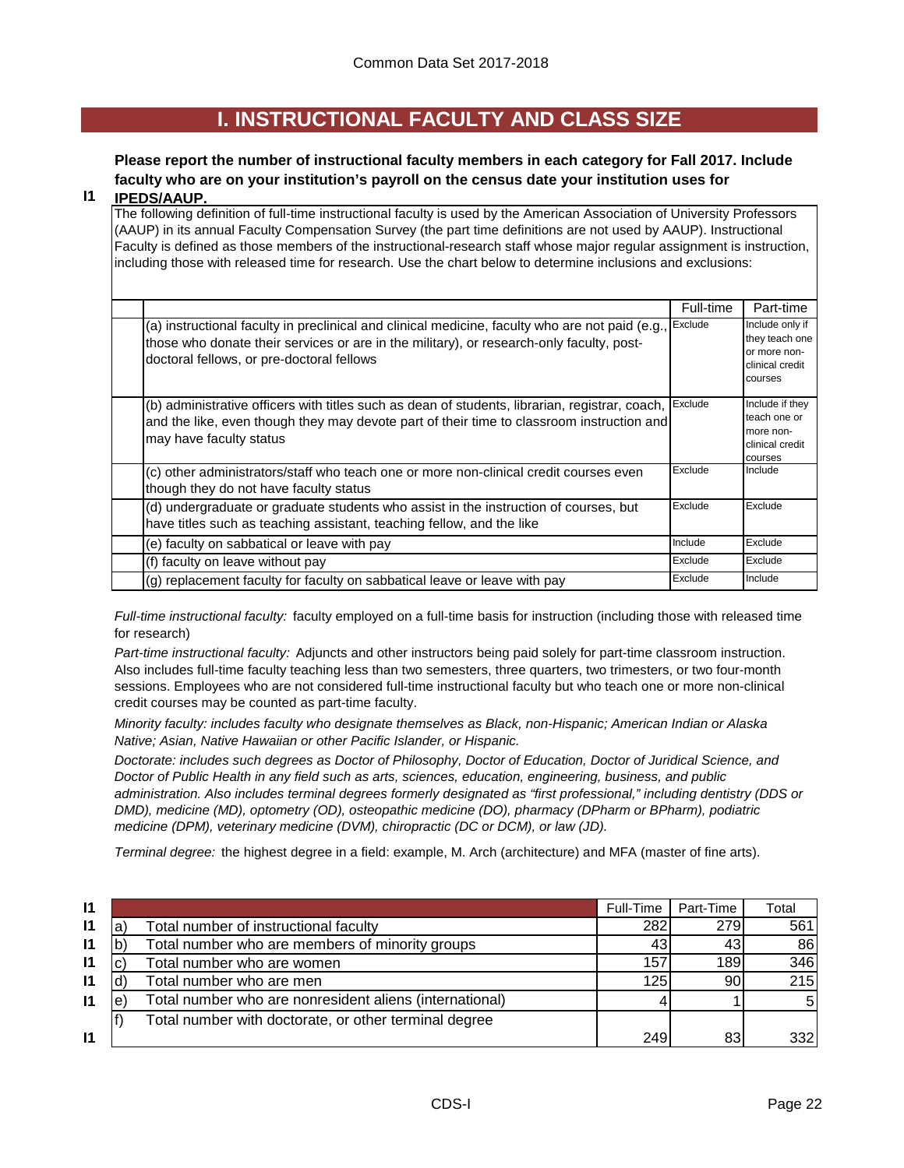## **I. INSTRUCTIONAL FACULTY AND CLASS SIZE**

## **Please report the number of instructional faculty members in each category for Fall 2017. Include faculty who are on your institution's payroll on the census date your institution uses for**

#### **I1 IPEDS/AAUP.**

The following definition of full-time instructional faculty is used by the American Association of University Professors (AAUP) in its annual Faculty Compensation Survey (the part time definitions are not used by AAUP). Instructional Faculty is defined as those members of the instructional-research staff whose major regular assignment is instruction, including those with released time for research. Use the chart below to determine inclusions and exclusions:

|                                                                                                                                                                                                                                          | Full-time | Part-time                                                                       |
|------------------------------------------------------------------------------------------------------------------------------------------------------------------------------------------------------------------------------------------|-----------|---------------------------------------------------------------------------------|
| (a) instructional faculty in preclinical and clinical medicine, faculty who are not paid (e.g.,<br>those who donate their services or are in the military), or research-only faculty, post-<br>doctoral fellows, or pre-doctoral fellows | Exclude   | Include only if<br>they teach one<br>or more non-<br>clinical credit<br>courses |
| (b) administrative officers with titles such as dean of students, librarian, registrar, coach,<br>and the like, even though they may devote part of their time to classroom instruction and<br>may have faculty status                   | Exclude   | Include if they<br>teach one or<br>more non-<br>clinical credit<br>courses      |
| (c) other administrators/staff who teach one or more non-clinical credit courses even<br>though they do not have faculty status                                                                                                          | Exclude   | Include                                                                         |
| (d) undergraduate or graduate students who assist in the instruction of courses, but<br>have titles such as teaching assistant, teaching fellow, and the like                                                                            | Exclude   | Exclude                                                                         |
| (e) faculty on sabbatical or leave with pay                                                                                                                                                                                              | Include   | Exclude                                                                         |
| (f) faculty on leave without pay                                                                                                                                                                                                         | Exclude   | Exclude                                                                         |
| (g) replacement faculty for faculty on sabbatical leave or leave with pay                                                                                                                                                                | Exclude   | Include                                                                         |

*Full-time instructional faculty:* faculty employed on a full-time basis for instruction (including those with released time for research)

*Part-time instructional faculty:* Adjuncts and other instructors being paid solely for part-time classroom instruction. Also includes full-time faculty teaching less than two semesters, three quarters, two trimesters, or two four-month sessions. Employees who are not considered full-time instructional faculty but who teach one or more non-clinical credit courses may be counted as part-time faculty.

*Minority faculty: includes faculty who designate themselves as Black, non-Hispanic; American Indian or Alaska Native; Asian, Native Hawaiian or other Pacific Islander, or Hispanic.* 

*Doctorate: includes such degrees as Doctor of Philosophy, Doctor of Education, Doctor of Juridical Science, and Doctor of Public Health in any field such as arts, sciences, education, engineering, business, and public administration. Also includes terminal degrees formerly designated as "first professional," including dentistry (DDS or DMD), medicine (MD), optometry (OD), osteopathic medicine (DO), pharmacy (DPharm or BPharm), podiatric medicine (DPM), veterinary medicine (DVM), chiropractic (DC or DCM), or law (JD).*

*Terminal degree:* the highest degree in a field: example, M. Arch (architecture) and MFA (master of fine arts).

| $\mathbf{I}$ |   |                                                         | Full-Time | Part-Time | Total |
|--------------|---|---------------------------------------------------------|-----------|-----------|-------|
| $\mathsf{I}$ |   | Total number of instructional faculty                   | 282       | 279       | 561   |
| $\mathsf{I}$ |   | Total number who are members of minority groups         | 43        | 43        | 86    |
| $\mathsf{I}$ |   | Total number who are women                              | 157       | 189       | 346   |
| $\mathsf{I}$ |   | Total number who are men                                | 125       | 90        | 215   |
| $\mathsf{I}$ | е | Total number who are nonresident aliens (international) |           |           | .5I   |
|              |   | Total number with doctorate, or other terminal degree   |           |           |       |
| $\mathbf{I}$ |   |                                                         | 249       | 83        | 332I  |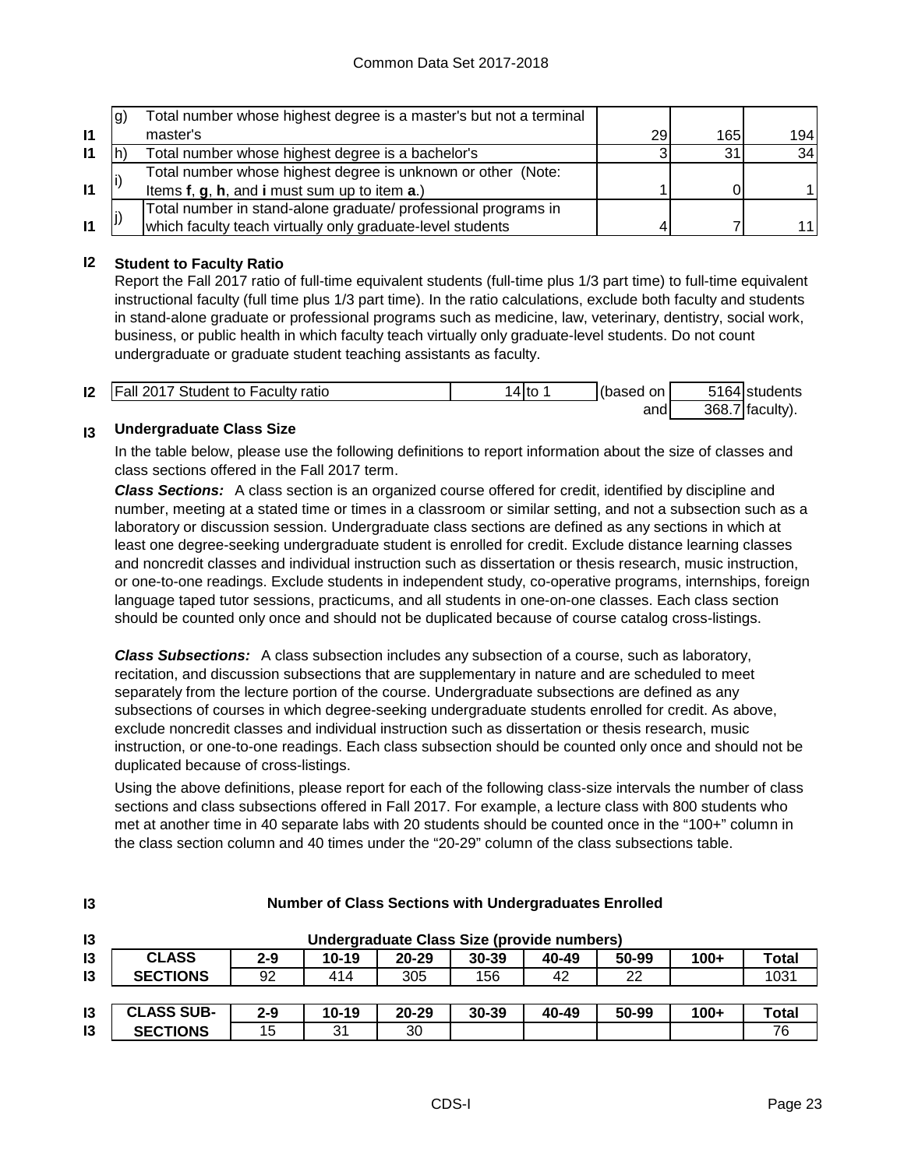|              | g) | Total number whose highest degree is a master's but not a terminal |    |     |                 |
|--------------|----|--------------------------------------------------------------------|----|-----|-----------------|
| $\mathbf{I}$ |    | master's                                                           | 29 | 165 | 194 l           |
| $\mathbf{I}$ |    | Total number whose highest degree is a bachelor's                  |    | 31  | 34 <sub>l</sub> |
|              |    | Total number whose highest degree is unknown or other (Note:       |    |     |                 |
| $\mathbf{I}$ |    | Items f, g, h, and i must sum up to item a.)                       |    |     |                 |
|              |    | Total number in stand-alone graduate/ professional programs in     |    |     |                 |
| $\mathbf{I}$ |    | which faculty teach virtually only graduate-level students         |    |     | 11 I            |

## **I2 Student to Faculty Ratio**

Report the Fall 2017 ratio of full-time equivalent students (full-time plus 1/3 part time) to full-time equivalent instructional faculty (full time plus 1/3 part time). In the ratio calculations, exclude both faculty and students in stand-alone graduate or professional programs such as medicine, law, veterinary, dentistry, social work, business, or public health in which faculty teach virtually only graduate-level students. Do not count undergraduate or graduate student teaching assistants as faculty.

| 12 | <b>Fall 2017 Student to Faculty ratio</b> | 4 to | (based on | 5164 students     |
|----|-------------------------------------------|------|-----------|-------------------|
|    |                                           |      | and       | $368.7$ faculty). |

#### **I3 Undergraduate Class Size**

**I3**

In the table below, please use the following definitions to report information about the size of classes and class sections offered in the Fall 2017 term.

*Class Sections:* A class section is an organized course offered for credit, identified by discipline and number, meeting at a stated time or times in a classroom or similar setting, and not a subsection such as a laboratory or discussion session. Undergraduate class sections are defined as any sections in which at least one degree-seeking undergraduate student is enrolled for credit. Exclude distance learning classes and noncredit classes and individual instruction such as dissertation or thesis research, music instruction, or one-to-one readings. Exclude students in independent study, co-operative programs, internships, foreign language taped tutor sessions, practicums, and all students in one-on-one classes. Each class section should be counted only once and should not be duplicated because of course catalog cross-listings.

*Class Subsections:* A class subsection includes any subsection of a course, such as laboratory, recitation, and discussion subsections that are supplementary in nature and are scheduled to meet separately from the lecture portion of the course. Undergraduate subsections are defined as any subsections of courses in which degree-seeking undergraduate students enrolled for credit. As above, exclude noncredit classes and individual instruction such as dissertation or thesis research, music instruction, or one-to-one readings. Each class subsection should be counted only once and should not be duplicated because of cross-listings.

Using the above definitions, please report for each of the following class-size intervals the number of class sections and class subsections offered in Fall 2017. For example, a lecture class with 800 students who met at another time in 40 separate labs with 20 students should be counted once in the "100+" column in the class section column and 40 times under the "20-29" column of the class subsections table.

| 13            | Undergraduate Class Size (provide numbers) |         |           |           |           |       |       |        |       |
|---------------|--------------------------------------------|---------|-----------|-----------|-----------|-------|-------|--------|-------|
| 13            | <b>CLASS</b>                               | $2 - 9$ | $10 - 19$ | $20 - 29$ | $30 - 39$ | 40-49 | 50-99 | $100+$ | Total |
| 13            | <b>SECTIONS</b>                            | 92      | 414       | 305       | 156       | 42    | 22    |        | 1031  |
|               |                                            |         |           |           |           |       |       |        |       |
| $\mathsf{I}3$ | <b>CLASS SUB-</b>                          | $2 - 9$ | $10 - 19$ | $20 - 29$ | 30-39     | 40-49 | 50-99 | $100+$ | Total |
| $\mathsf{I}3$ | <b>SECTIONS</b>                            | 15      | 31        | 30        |           |       |       |        | 76    |

## **Number of Class Sections with Undergraduates Enrolled**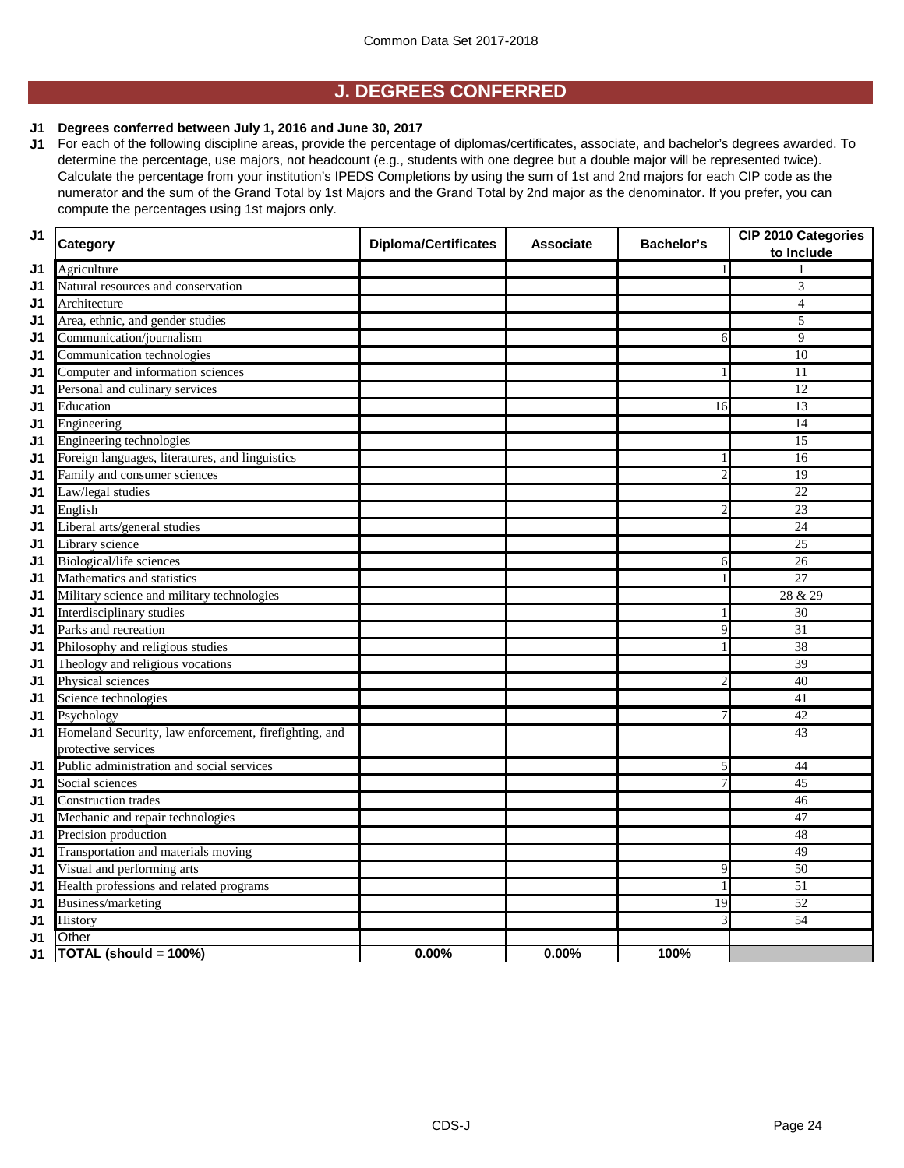## **J. DEGREES CONFERRED**

### **J1 Degrees conferred between July 1, 2016 and June 30, 2017**

**J1** For each of the following discipline areas, provide the percentage of diplomas/certificates, associate, and bachelor's degrees awarded. To determine the percentage, use majors, not headcount (e.g., students with one degree but a double major will be represented twice). Calculate the percentage from your institution's IPEDS Completions by using the sum of 1st and 2nd majors for each CIP code as the numerator and the sum of the Grand Total by 1st Majors and the Grand Total by 2nd major as the denominator. If you prefer, you can compute the percentages using 1st majors only.

| J <sub>1</sub> | Category                                              | <b>Diploma/Certificates</b> | <b>Associate</b> | <b>Bachelor's</b> | CIP 2010 Categories<br>to Include |
|----------------|-------------------------------------------------------|-----------------------------|------------------|-------------------|-----------------------------------|
| J <sub>1</sub> | Agriculture                                           |                             |                  |                   |                                   |
| J1             | Natural resources and conservation                    |                             |                  |                   | 3                                 |
| J1             | Architecture                                          |                             |                  |                   | $\overline{4}$                    |
| J1             | Area, ethnic, and gender studies                      |                             |                  |                   | 5                                 |
| J1             | Communication/journalism                              |                             |                  | 6                 | 9                                 |
| J1             | Communication technologies                            |                             |                  |                   | 10                                |
| J1             | Computer and information sciences                     |                             |                  | 1                 | $\overline{11}$                   |
| J1             | Personal and culinary services                        |                             |                  |                   | 12                                |
| J1             | Education                                             |                             |                  | 16                | $\overline{13}$                   |
| J1             | Engineering                                           |                             |                  |                   | 14                                |
| J1             | Engineering technologies                              |                             |                  |                   | $\overline{15}$                   |
| J1             | Foreign languages, literatures, and linguistics       |                             |                  |                   | 16                                |
| J1             | Family and consumer sciences                          |                             |                  | $\overline{2}$    | 19                                |
| J1             | Law/legal studies                                     |                             |                  |                   | $\overline{22}$                   |
| J1             | English                                               |                             |                  | $\overline{2}$    | $\overline{23}$                   |
| J1             | Liberal arts/general studies                          |                             |                  |                   | 24                                |
| J1             | Library science                                       |                             |                  |                   | $\overline{25}$                   |
| J1             | Biological/life sciences                              |                             |                  | 6                 | 26                                |
| J1             | Mathematics and statistics                            |                             |                  |                   | $\overline{27}$                   |
| J1             | Military science and military technologies            |                             |                  |                   | 28 & 29                           |
| J1             | Interdisciplinary studies                             |                             |                  | 1                 | 30                                |
| J1             | Parks and recreation                                  |                             |                  | 9                 | 31                                |
| J1             | Philosophy and religious studies                      |                             |                  | 1                 | 38                                |
| J1             | Theology and religious vocations                      |                             |                  |                   | $\overline{39}$                   |
| J1             | Physical sciences                                     |                             |                  | 2                 | 40                                |
| J1             | Science technologies                                  |                             |                  |                   | 41                                |
| J1             | Psychology                                            |                             |                  | 7                 | 42                                |
| J <sub>1</sub> | Homeland Security, law enforcement, firefighting, and |                             |                  |                   | 43                                |
|                | protective services                                   |                             |                  |                   |                                   |
| J1             | Public administration and social services             |                             |                  | 5                 | 44                                |
| J <sub>1</sub> | Social sciences                                       |                             |                  | 7                 | 45                                |
| J1             | <b>Construction</b> trades                            |                             |                  |                   | 46                                |
| J <sub>1</sub> | Mechanic and repair technologies                      |                             |                  |                   | 47                                |
| J1             | Precision production                                  |                             |                  |                   | 48                                |
| J <sub>1</sub> | Transportation and materials moving                   |                             |                  |                   | 49                                |
| J1             | Visual and performing arts                            |                             |                  | 9                 | $\overline{50}$                   |
| J <sub>1</sub> | Health professions and related programs               |                             |                  | 1                 | $\overline{51}$                   |
| J1             | Business/marketing                                    |                             |                  | 19                | 52                                |
| J <sub>1</sub> | History                                               |                             |                  | 3                 | 54                                |
| J1             | Other                                                 |                             |                  |                   |                                   |
| J1             | TOTAL (should = 100%)                                 | 0.00%                       | 0.00%            | 100%              |                                   |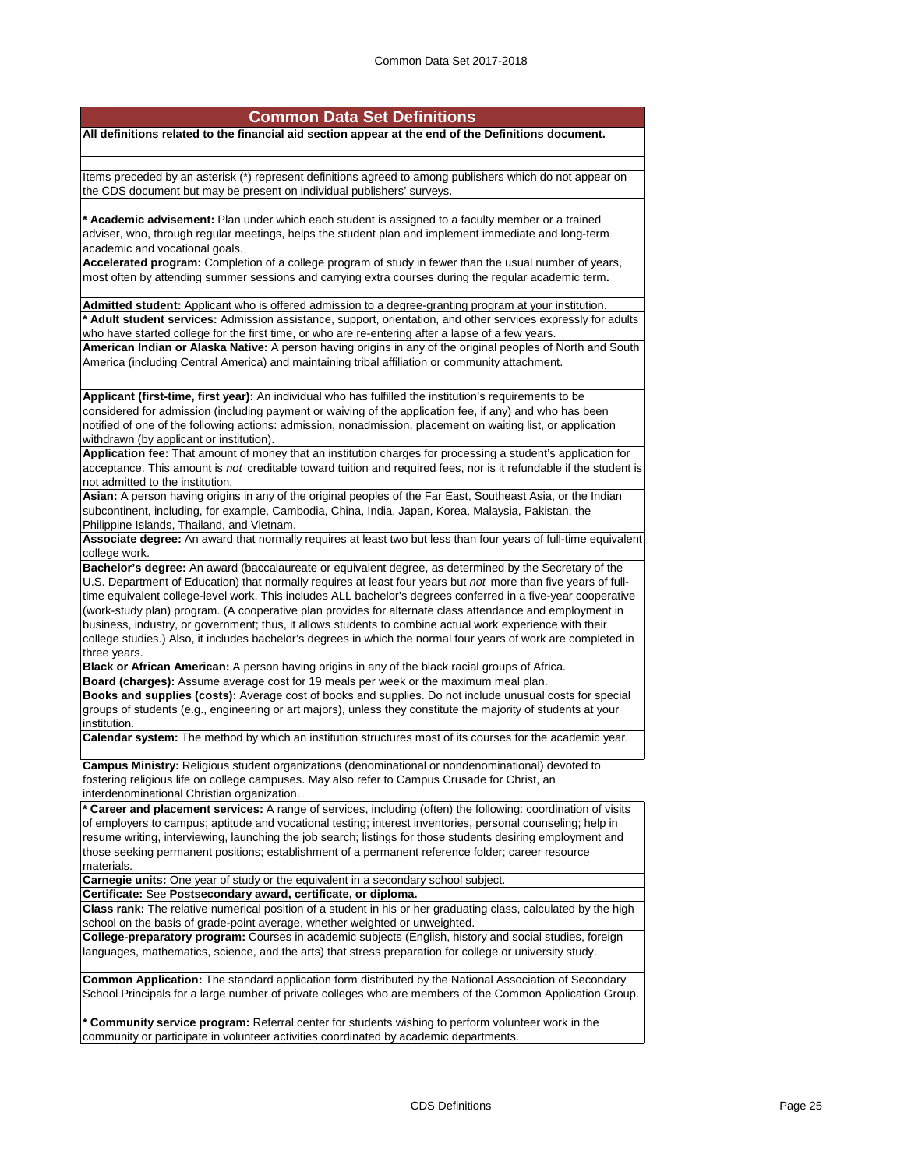|  | <b>Common Data Set Definitions</b> |
|--|------------------------------------|
|  |                                    |

**All definitions related to the financial aid section appear at the end of the Definitions document.**

Items preceded by an asterisk (\*) represent definitions agreed to among publishers which do not appear on the CDS document but may be present on individual publishers' surveys.

**\* Academic advisement:** Plan under which each student is assigned to a faculty member or a trained adviser, who, through regular meetings, helps the student plan and implement immediate and long-term academic and vocational goals.

**Accelerated program:** Completion of a college program of study in fewer than the usual number of years, most often by attending summer sessions and carrying extra courses during the regular academic term**.**

**Admitted student:** Applicant who is offered admission to a degree-granting program at your institution. **\* Adult student services:** Admission assistance, support, orientation, and other services expressly for adults who have started college for the first time, or who are re-entering after a lapse of a few years. **American Indian or Alaska Native:** A person having origins in any of the original peoples of North and South

America (including Central America) and maintaining tribal affiliation or community attachment.

**Applicant (first-time, first year):** An individual who has fulfilled the institution's requirements to be considered for admission (including payment or waiving of the application fee, if any) and who has been notified of one of the following actions: admission, nonadmission, placement on waiting list, or application withdrawn (by applicant or institution).

**Application fee:** That amount of money that an institution charges for processing a student's application for acceptance. This amount is *not* creditable toward tuition and required fees, nor is it refundable if the student is not admitted to the institution.

**Asian:** A person having origins in any of the original peoples of the Far East, Southeast Asia, or the Indian subcontinent, including, for example, Cambodia, China, India, Japan, Korea, Malaysia, Pakistan, the Philippine Islands, Thailand, and Vietnam.

**Associate degree:** An award that normally requires at least two but less than four years of full-time equivalent college work.

**Bachelor's degree:** An award (baccalaureate or equivalent degree, as determined by the Secretary of the U.S. Department of Education) that normally requires at least four years but *not* more than five years of fulltime equivalent college-level work. This includes ALL bachelor's degrees conferred in a five-year cooperative (work-study plan) program. (A cooperative plan provides for alternate class attendance and employment in business, industry, or government; thus, it allows students to combine actual work experience with their college studies.) Also, it includes bachelor's degrees in which the normal four years of work are completed in three years.

**Black or African American:** A person having origins in any of the black racial groups of Africa.

**Board (charges):** Assume average cost for 19 meals per week or the maximum meal plan.

**Books and supplies (costs):** Average cost of books and supplies. Do not include unusual costs for special groups of students (e.g., engineering or art majors), unless they constitute the majority of students at your institution.

**Calendar system:** The method by which an institution structures most of its courses for the academic year.

**Campus Ministry:** Religious student organizations (denominational or nondenominational) devoted to fostering religious life on college campuses. May also refer to Campus Crusade for Christ, an interdenominational Christian organization.

**\* Career and placement services:** A range of services, including (often) the following: coordination of visits of employers to campus; aptitude and vocational testing; interest inventories, personal counseling; help in resume writing, interviewing, launching the job search; listings for those students desiring employment and those seeking permanent positions; establishment of a permanent reference folder; career resource materials.

**Carnegie units:** One year of study or the equivalent in a secondary school subject. **Certificate:** See **Postsecondary award, certificate, or diploma.**

**Class rank:** The relative numerical position of a student in his or her graduating class, calculated by the high school on the basis of grade-point average, whether weighted or unweighted

**College-preparatory program:** Courses in academic subjects (English, history and social studies, foreign languages, mathematics, science, and the arts) that stress preparation for college or university study.

**Common Application:** The standard application form distributed by the National Association of Secondary School Principals for a large number of private colleges who are members of the Common Application Group.

**\* Community service program:** Referral center for students wishing to perform volunteer work in the community or participate in volunteer activities coordinated by academic departments.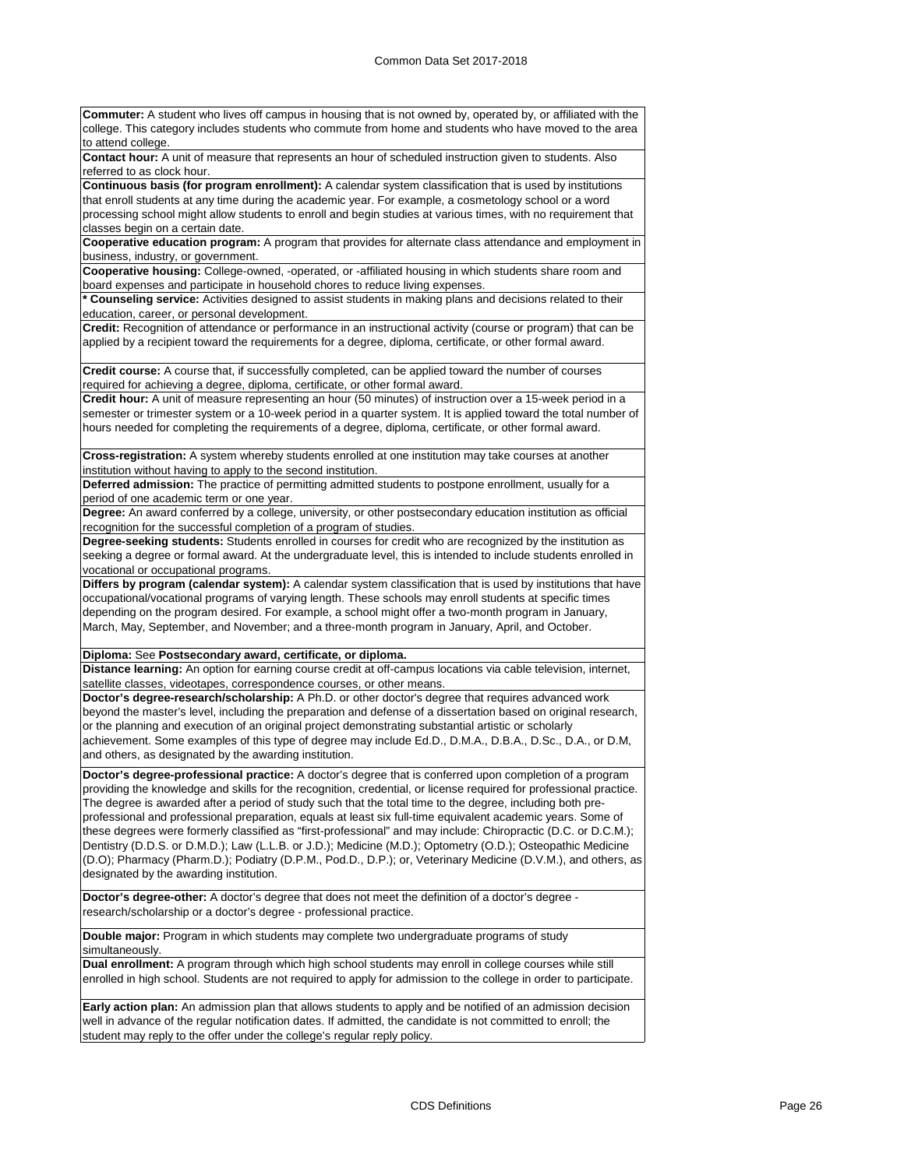**Commuter:** A student who lives off campus in housing that is not owned by, operated by, or affiliated with the college. This category includes students who commute from home and students who have moved to the area to attend college.

**Contact hour:** A unit of measure that represents an hour of scheduled instruction given to students. Also referred to as clock hour.

**Continuous basis (for program enrollment):** A calendar system classification that is used by institutions that enroll students at any time during the academic year. For example, a cosmetology school or a word processing school might allow students to enroll and begin studies at various times, with no requirement that classes begin on a certain date.

**Cooperative education program:** A program that provides for alternate class attendance and employment in business, industry, or government.

**Cooperative housing:** College-owned, -operated, or -affiliated housing in which students share room and board expenses and participate in household chores to reduce living expenses.

**\* Counseling service:** Activities designed to assist students in making plans and decisions related to their education, career, or personal development.

**Credit:** Recognition of attendance or performance in an instructional activity (course or program) that can be applied by a recipient toward the requirements for a degree, diploma, certificate, or other formal award.

**Credit course:** A course that, if successfully completed, can be applied toward the number of courses required for achieving a degree, diploma, certificate, or other formal award.

**Credit hour:** A unit of measure representing an hour (50 minutes) of instruction over a 15-week period in a semester or trimester system or a 10-week period in a quarter system. It is applied toward the total number of hours needed for completing the requirements of a degree, diploma, certificate, or other formal award.

**Cross-registration:** A system whereby students enrolled at one institution may take courses at another institution without having to apply to the second institution.

**Deferred admission:** The practice of permitting admitted students to postpone enrollment, usually for a period of one academic term or one year.

**Degree:** An award conferred by a college, university, or other postsecondary education institution as official recognition for the successful completion of a program of studies.

**Degree-seeking students:** Students enrolled in courses for credit who are recognized by the institution as seeking a degree or formal award. At the undergraduate level, this is intended to include students enrolled in vocational or occupational programs.

**Differs by program (calendar system):** A calendar system classification that is used by institutions that have occupational/vocational programs of varying length. These schools may enroll students at specific times depending on the program desired. For example, a school might offer a two-month program in January, March, May, September, and November; and a three-month program in January, April, and October.

**Diploma:** See **Postsecondary award, certificate, or diploma.**

**Distance learning:** An option for earning course credit at off-campus locations via cable television, internet, satellite classes, videotapes, correspondence courses, or other means.

**Doctor's degree-research/scholarship:** A Ph.D. or other doctor's degree that requires advanced work beyond the master's level, including the preparation and defense of a dissertation based on original research, or the planning and execution of an original project demonstrating substantial artistic or scholarly achievement. Some examples of this type of degree may include Ed.D., D.M.A., D.B.A., D.Sc., D.A., or D.M, and others, as designated by the awarding institution.

**Doctor's degree-professional practice:** A doctor's degree that is conferred upon completion of a program providing the knowledge and skills for the recognition, credential, or license required for professional practice. The degree is awarded after a period of study such that the total time to the degree, including both preprofessional and professional preparation, equals at least six full-time equivalent academic years. Some of these degrees were formerly classified as "first-professional" and may include: Chiropractic (D.C. or D.C.M.); Dentistry (D.D.S. or D.M.D.); Law (L.L.B. or J.D.); Medicine (M.D.); Optometry (O.D.); Osteopathic Medicine (D.O); Pharmacy (Pharm.D.); Podiatry (D.P.M., Pod.D., D.P.); or, Veterinary Medicine (D.V.M.), and others, as designated by the awarding institution.

**Doctor's degree-other:** A doctor's degree that does not meet the definition of a doctor's degree research/scholarship or a doctor's degree - professional practice.

**Double major:** Program in which students may complete two undergraduate programs of study simultaneously.

**Dual enrollment:** A program through which high school students may enroll in college courses while still enrolled in high school. Students are not required to apply for admission to the college in order to participate.

**Early action plan:** An admission plan that allows students to apply and be notified of an admission decision well in advance of the regular notification dates. If admitted, the candidate is not committed to enroll; the student may reply to the offer under the college's regular reply policy.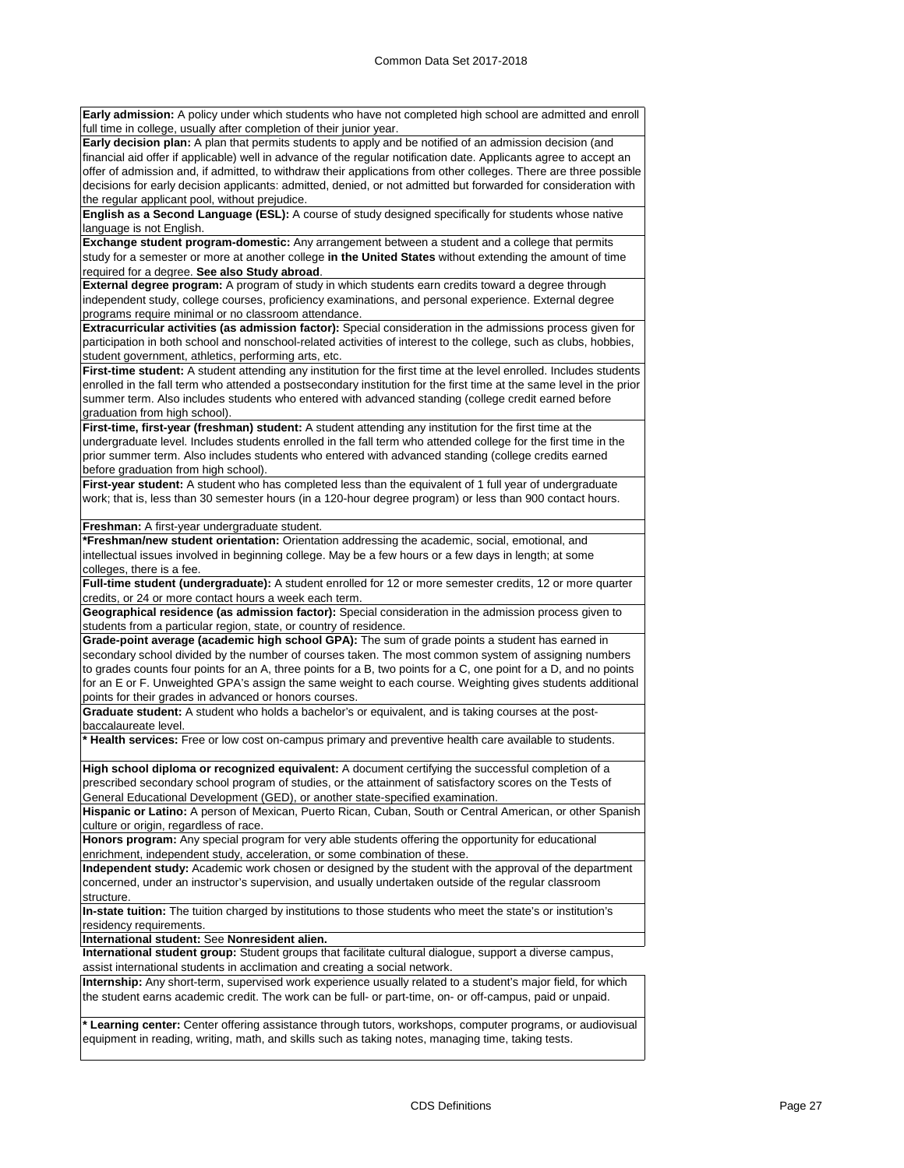**Early admission:** A policy under which students who have not completed high school are admitted and enroll full time in college, usually after completion of their junior year.

**Early decision plan:** A plan that permits students to apply and be notified of an admission decision (and financial aid offer if applicable) well in advance of the regular notification date. Applicants agree to accept an offer of admission and, if admitted, to withdraw their applications from other colleges. There are three possible decisions for early decision applicants: admitted, denied, or not admitted but forwarded for consideration with the regular applicant pool, without prejudice.

**English as a Second Language (ESL):** A course of study designed specifically for students whose native language is not English.

**Exchange student program-domestic:** Any arrangement between a student and a college that permits study for a semester or more at another college **in the United States** without extending the amount of time required for a degree. **See also Study abroad**.

**External degree program:** A program of study in which students earn credits toward a degree through independent study, college courses, proficiency examinations, and personal experience. External degree programs require minimal or no classroom attendance.

**Extracurricular activities (as admission factor):** Special consideration in the admissions process given for participation in both school and nonschool-related activities of interest to the college, such as clubs, hobbies, student government, athletics, performing arts, etc.

**First-time student:** A student attending any institution for the first time at the level enrolled. Includes students enrolled in the fall term who attended a postsecondary institution for the first time at the same level in the prior summer term. Also includes students who entered with advanced standing (college credit earned before graduation from high school).

**First-time, first-year (freshman) student:** A student attending any institution for the first time at the undergraduate level. Includes students enrolled in the fall term who attended college for the first time in the prior summer term. Also includes students who entered with advanced standing (college credits earned before graduation from high school).

**First-year student:** A student who has completed less than the equivalent of 1 full year of undergraduate work; that is, less than 30 semester hours (in a 120-hour degree program) or less than 900 contact hours.

**Freshman:** A first-year undergraduate student.

**\*Freshman/new student orientation:** Orientation addressing the academic, social, emotional, and intellectual issues involved in beginning college. May be a few hours or a few days in length; at some colleges, there is a fee.

**Full-time student (undergraduate):** A student enrolled for 12 or more semester credits, 12 or more quarter credits, or 24 or more contact hours a week each term.

**Geographical residence (as admission factor):** Special consideration in the admission process given to students from a particular region, state, or country of residence.

**Grade-point average (academic high school GPA):** The sum of grade points a student has earned in secondary school divided by the number of courses taken. The most common system of assigning numbers to grades counts four points for an A, three points for a B, two points for a C, one point for a D, and no points for an E or F. Unweighted GPA's assign the same weight to each course. Weighting gives students additional points for their grades in advanced or honors courses.

**Graduate student:** A student who holds a bachelor's or equivalent, and is taking courses at the postbaccalaureate level.

**\* Health services:** Free or low cost on-campus primary and preventive health care available to students.

**High school diploma or recognized equivalent:** A document certifying the successful completion of a prescribed secondary school program of studies, or the attainment of satisfactory scores on the Tests of General Educational Development (GED), or another state-specified examination.

**Hispanic or Latino:** A person of Mexican, Puerto Rican, Cuban, South or Central American, or other Spanish culture or origin, regardless of race.

**Honors program:** Any special program for very able students offering the opportunity for educational enrichment, independent study, acceleration, or some combination of these.

**Independent study:** Academic work chosen or designed by the student with the approval of the department concerned, under an instructor's supervision, and usually undertaken outside of the regular classroom structure.

**In-state tuition:** The tuition charged by institutions to those students who meet the state's or institution's residency requirements.

**International student:** See **Nonresident alien.**

**International student group:** Student groups that facilitate cultural dialogue, support a diverse campus, assist international students in acclimation and creating a social network.

**Internship:** Any short-term, supervised work experience usually related to a student's major field, for which the student earns academic credit. The work can be full- or part-time, on- or off-campus, paid or unpaid.

**\* Learning center:** Center offering assistance through tutors, workshops, computer programs, or audiovisual equipment in reading, writing, math, and skills such as taking notes, managing time, taking tests.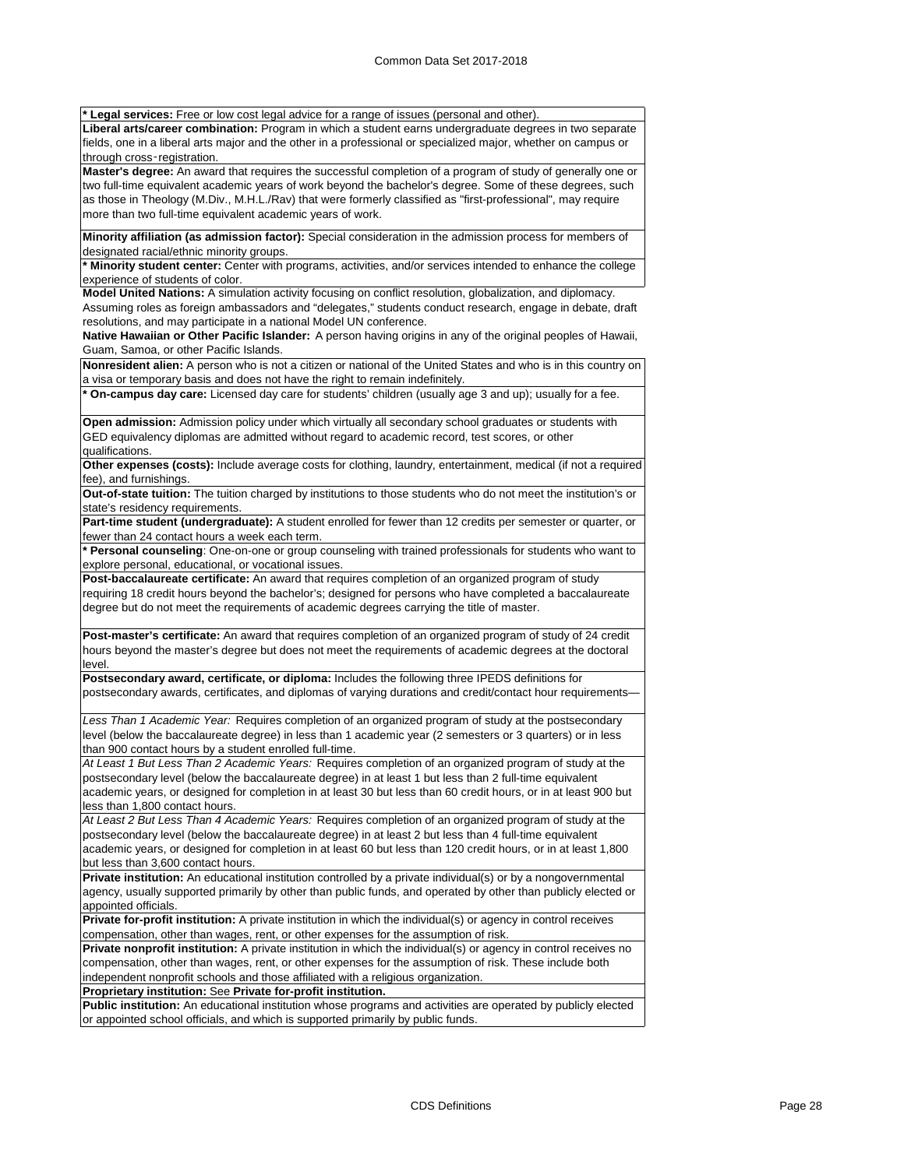**\* Legal services:** Free or low cost legal advice for a range of issues (personal and other).

**Liberal arts/career combination:** Program in which a student earns undergraduate degrees in two separate fields, one in a liberal arts major and the other in a professional or specialized major, whether on campus or through cross‑registration.

**Master's degree:** An award that requires the successful completion of a program of study of generally one or two full-time equivalent academic years of work beyond the bachelor's degree. Some of these degrees, such as those in Theology (M.Div., M.H.L./Rav) that were formerly classified as "first-professional", may require more than two full-time equivalent academic years of work.

**Minority affiliation (as admission factor):** Special consideration in the admission process for members of designated racial/ethnic minority groups.

**\* Minority student center:** Center with programs, activities, and/or services intended to enhance the college experience of students of color.

**Model United Nations:** A simulation activity focusing on conflict resolution, globalization, and diplomacy.

Assuming roles as foreign ambassadors and "delegates," students conduct research, engage in debate, draft resolutions, and may participate in a national Model UN conference.

**Native Hawaiian or Other Pacific Islander:** A person having origins in any of the original peoples of Hawaii, Guam, Samoa, or other Pacific Islands.

**Nonresident alien:** A person who is not a citizen or national of the United States and who is in this country on a visa or temporary basis and does not have the right to remain indefinitely.

**\* On-campus day care:** Licensed day care for students' children (usually age 3 and up); usually for a fee.

**Open admission:** Admission policy under which virtually all secondary school graduates or students with GED equivalency diplomas are admitted without regard to academic record, test scores, or other qualifications.

**Other expenses (costs):** Include average costs for clothing, laundry, entertainment, medical (if not a required fee), and furnishings.

**Out-of-state tuition:** The tuition charged by institutions to those students who do not meet the institution's or state's residency requirements.

**Part-time student (undergraduate):** A student enrolled for fewer than 12 credits per semester or quarter, or fewer than 24 contact hours a week each term.

**\* Personal counseling**: One-on-one or group counseling with trained professionals for students who want to explore personal, educational, or vocational issues.

**Post-baccalaureate certificate:** An award that requires completion of an organized program of study requiring 18 credit hours beyond the bachelor's; designed for persons who have completed a baccalaureate degree but do not meet the requirements of academic degrees carrying the title of master.

**Post-master's certificate:** An award that requires completion of an organized program of study of 24 credit hours beyond the master's degree but does not meet the requirements of academic degrees at the doctoral level.

**Postsecondary award, certificate, or diploma:** Includes the following three IPEDS definitions for postsecondary awards, certificates, and diplomas of varying durations and credit/contact hour requirements—

*Less Than 1 Academic Year:* Requires completion of an organized program of study at the postsecondary level (below the baccalaureate degree) in less than 1 academic year (2 semesters or 3 quarters) or in less than 900 contact hours by a student enrolled full-time.

*At Least 1 But Less Than 2 Academic Years:* Requires completion of an organized program of study at the postsecondary level (below the baccalaureate degree) in at least 1 but less than 2 full-time equivalent academic years, or designed for completion in at least 30 but less than 60 credit hours, or in at least 900 but less than 1,800 contact hours.

*At Least 2 But Less Than 4 Academic Years:* Requires completion of an organized program of study at the postsecondary level (below the baccalaureate degree) in at least 2 but less than 4 full-time equivalent academic years, or designed for completion in at least 60 but less than 120 credit hours, or in at least 1,800 but less than 3,600 contact hours.

**Private institution:** An educational institution controlled by a private individual(s) or by a nongovernmental agency, usually supported primarily by other than public funds, and operated by other than publicly elected or appointed officials.

**Private for-profit institution:** A private institution in which the individual(s) or agency in control receives compensation, other than wages, rent, or other expenses for the assumption of risk.

**Private nonprofit institution:** A private institution in which the individual(s) or agency in control receives no compensation, other than wages, rent, or other expenses for the assumption of risk. These include both independent nonprofit schools and those affiliated with a religious organization.

**Proprietary institution:** See **Private for-profit institution.**

**Public institution:** An educational institution whose programs and activities are operated by publicly elected or appointed school officials, and which is supported primarily by public funds.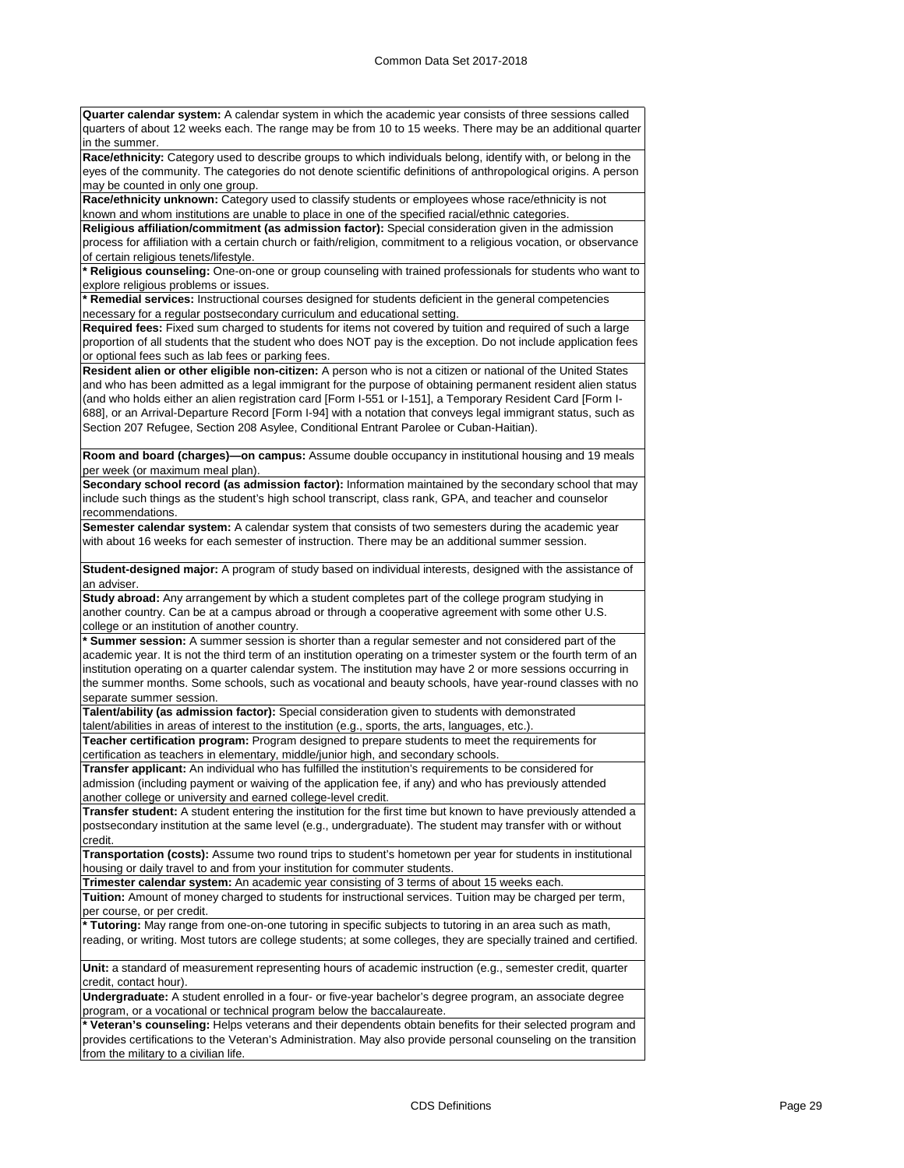**Quarter calendar system:** A calendar system in which the academic year consists of three sessions called quarters of about 12 weeks each. The range may be from 10 to 15 weeks. There may be an additional quarter in the summer.

**Race/ethnicity:** Category used to describe groups to which individuals belong, identify with, or belong in the eyes of the community. The categories do not denote scientific definitions of anthropological origins. A person may be counted in only one group.

**Race/ethnicity unknown:** Category used to classify students or employees whose race/ethnicity is not known and whom institutions are unable to place in one of the specified racial/ethnic categories.

**Religious affiliation/commitment (as admission factor):** Special consideration given in the admission process for affiliation with a certain church or faith/religion, commitment to a religious vocation, or observance of certain religious tenets/lifestyle.

**\* Religious counseling:** One-on-one or group counseling with trained professionals for students who want to explore religious problems or issues.

**\* Remedial services:** Instructional courses designed for students deficient in the general competencies necessary for a regular postsecondary curriculum and educational setting.

**Required fees:** Fixed sum charged to students for items not covered by tuition and required of such a large proportion of all students that the student who does NOT pay is the exception. Do not include application fees or optional fees such as lab fees or parking fees.

**Resident alien or other eligible non-citizen:** A person who is not a citizen or national of the United States and who has been admitted as a legal immigrant for the purpose of obtaining permanent resident alien status (and who holds either an alien registration card [Form I-551 or I-151], a Temporary Resident Card [Form I-688], or an Arrival-Departure Record [Form I-94] with a notation that conveys legal immigrant status, such as Section 207 Refugee, Section 208 Asylee, Conditional Entrant Parolee or Cuban-Haitian).

**Room and board (charges)—on campus:** Assume double occupancy in institutional housing and 19 meals per week (or maximum meal plan).

**Secondary school record (as admission factor):** Information maintained by the secondary school that may include such things as the student's high school transcript, class rank, GPA, and teacher and counselor recommendations.

**Semester calendar system:** A calendar system that consists of two semesters during the academic year with about 16 weeks for each semester of instruction. There may be an additional summer session.

**Student-designed major:** A program of study based on individual interests, designed with the assistance of an adviser

**Study abroad:** Any arrangement by which a student completes part of the college program studying in another country. Can be at a campus abroad or through a cooperative agreement with some other U.S. college or an institution of another country.

**\* Summer session:** A summer session is shorter than a regular semester and not considered part of the academic year. It is not the third term of an institution operating on a trimester system or the fourth term of an institution operating on a quarter calendar system. The institution may have 2 or more sessions occurring in the summer months. Some schools, such as vocational and beauty schools, have year-round classes with no separate summer session.

**Talent/ability (as admission factor):** Special consideration given to students with demonstrated talent/abilities in areas of interest to the institution (e.g., sports, the arts, languages, etc.).

**Teacher certification program:** Program designed to prepare students to meet the requirements for certification as teachers in elementary, middle/junior high, and secondary schools.

**Transfer applicant:** An individual who has fulfilled the institution's requirements to be considered for admission (including payment or waiving of the application fee, if any) and who has previously attended another college or university and earned college-level credit.

**Transfer student:** A student entering the institution for the first time but known to have previously attended a postsecondary institution at the same level (e.g., undergraduate). The student may transfer with or without credit.

**Transportation (costs):** Assume two round trips to student's hometown per year for students in institutional housing or daily travel to and from your institution for commuter students.

**Trimester calendar system:** An academic year consisting of 3 terms of about 15 weeks each.

**Tuition:** Amount of money charged to students for instructional services. Tuition may be charged per term, per course, or per credit.

**\* Tutoring:** May range from one-on-one tutoring in specific subjects to tutoring in an area such as math, reading, or writing. Most tutors are college students; at some colleges, they are specially trained and certified.

**Unit:** a standard of measurement representing hours of academic instruction (e.g., semester credit, quarter credit, contact hour).

**Undergraduate:** A student enrolled in a four- or five-year bachelor's degree program, an associate degree program, or a vocational or technical program below the baccalaureate.

**\* Veteran's counseling:** Helps veterans and their dependents obtain benefits for their selected program and provides certifications to the Veteran's Administration. May also provide personal counseling on the transition from the military to a civilian life.